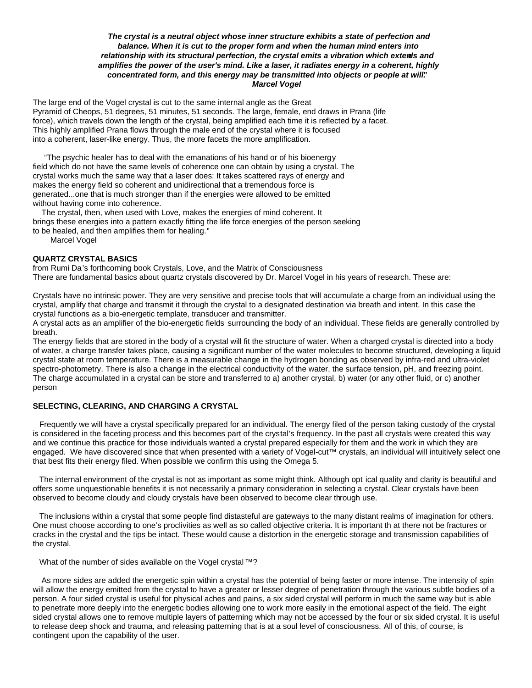# *The crystal is a neutral object whose inner structure exhibits a state of perfection and balance. When it is cut to the proper form and when the human mind enters into relationship with its structural perfection, the crystal emits a vibration which extends and amplifies the power of the user's mind. Like a laser, it radiates energy in a coherent, highly concentrated form, and this energy may be transmitted into objects or people at will." Marcel Vogel*

The large end of the Vogel crystal is cut to the same internal angle as the Great Pyramid of Cheops, 51 degrees, 51 minutes, 51 seconds. The large, female, end draws in Prana (life force), which travels down the length of the crystal, being amplified each time it is reflected by a facet. This highly amplified Prana flows through the male end of the crystal where it is focused into a coherent, laser-like energy. Thus, the more facets the more amplification.

 "The psychic healer has to deal with the emanations of his hand or of his bioenergy field which do not have the same levels of coherence one can obtain by using a crystal. The crystal works much the same way that a laser does: It takes scattered rays of energy and makes the energy field so coherent and unidirectional that a tremendous force is generated...one that is much stronger than if the energies were allowed to be emitted without having come into coherence.

 The crystal, then, when used with Love, makes the energies of mind coherent. It brings these energies into a pattern exactly fitting the life force energies of the person seeking to be healed, and then amplifies them for healing."

Marcel Vogel

## **QUARTZ CRYSTAL BASICS**

from Rumi Da's forthcoming book Crystals, Love, and the Matrix of Consciousness There are fundamental basics about quartz crystals discovered by Dr. Marcel Vogel in his years of research. These are:

Crystals have no intrinsic power. They are very sensitive and precise tools that will accumulate a charge from an individual using the crystal, amplify that charge and transmit it through the crystal to a designated destination via breath and intent. In this case the crystal functions as a bio-energetic template, transducer and transmitter.

A crystal acts as an amplifier of the bio-energetic fields surrounding the body of an individual. These fields are generally controlled by breath.

The energy fields that are stored in the body of a crystal will fit the structure of water. When a charged crystal is directed into a body of water, a charge transfer takes place, causing a significant number of the water molecules to become structured, developing a liquid crystal state at room temperature. There is a measurable change in the hydrogen bonding as observed by infra-red and ultra-violet spectro-photometry. There is also a change in the electrical conductivity of the water, the surface tension, pH, and freezing point. The charge accumulated in a crystal can be store and transferred to a) another crystal, b) water (or any other fluid, or c) another person

# **SELECTING, CLEARING, AND CHARGING A CRYSTAL**

 Frequently we will have a crystal specifically prepared for an individual. The energy filed of the person taking custody of the crystal is considered in the faceting process and this becomes part of the crystal's frequency. In the past all crystals were created this way and we continue this practice for those individuals wanted a crystal prepared especially for them and the work in which they are engaged. We have discovered since that when presented with a variety of Vogel-cut™ crystals, an individual will intuitively select one that best fits their energy filed. When possible we confirm this using the Omega 5.

 The internal environment of the crystal is not as important as some might think. Although opt ical quality and clarity is beautiful and offers some unquestionable benefits it is not necessarily a primary consideration in selecting a crystal. Clear crystals have been observed to become cloudy and cloudy crystals have been observed to become clear through use.

 The inclusions within a crystal that some people find distasteful are gateways to the many distant realms of imagination for others. One must choose according to one's proclivities as well as so called objective criteria. It is important th at there not be fractures or cracks in the crystal and the tips be intact. These would cause a distortion in the energetic storage and transmission capabilities of the crystal.

## What of the number of sides available on the Vogel crystal™?

 As more sides are added the energetic spin within a crystal has the potential of being faster or more intense. The intensity of spin will allow the energy emitted from the crystal to have a greater or lesser degree of penetration through the various subtle bodies of a person. A four sided crystal is useful for physical aches and pains, a six sided crystal will perform in much the same way but is able to penetrate more deeply into the energetic bodies allowing one to work more easily in the emotional aspect of the field. The eight sided crystal allows one to remove multiple layers of patterning which may not be accessed by the four or six sided crystal. It is useful to release deep shock and trauma, and releasing patterning that is at a soul level of consciousness. All of this, of course, is contingent upon the capability of the user.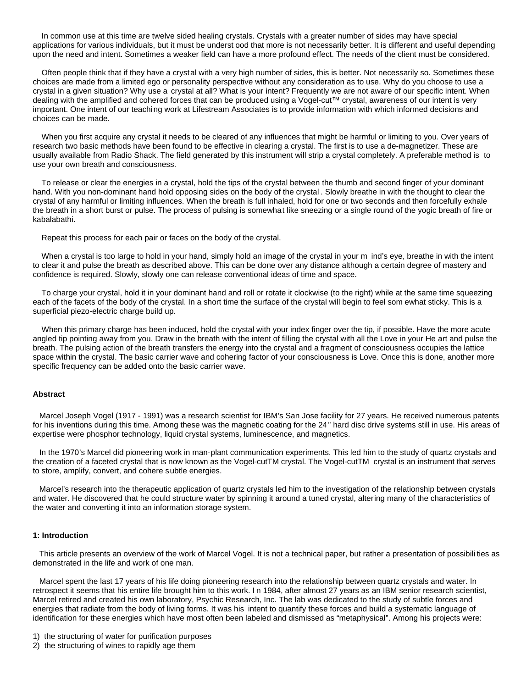In common use at this time are twelve sided healing crystals. Crystals with a greater number of sides may have special applications for various individuals, but it must be underst ood that more is not necessarily better. It is different and useful depending upon the need and intent. Sometimes a weaker field can have a more profound effect. The needs of the client must be considered.

 Often people think that if they have a crystal with a very high number of sides, this is better. Not necessarily so. Sometimes these choices are made from a limited ego or personality perspective without any consideration as to use. Why do you choose to use a crystal in a given situation? Why use a crystal at all? What is your intent? Frequently we are not aware of our specific intent. When dealing with the amplified and cohered forces that can be produced using a Vogel-cut™ crystal, awareness of our intent is very important. One intent of our teaching work at Lifestream Associates is to provide information with which informed decisions and choices can be made.

 When you first acquire any crystal it needs to be cleared of any influences that might be harmful or limiting to you. Over years of research two basic methods have been found to be effective in clearing a crystal. The first is to use a de-magnetizer. These are usually available from Radio Shack. The field generated by this instrument will strip a crystal completely. A preferable method is to use your own breath and consciousness.

 To release or clear the energies in a crystal, hold the tips of the crystal between the thumb and second finger of your dominant hand. With you non-dominant hand hold opposing sides on the body of the crystal . Slowly breathe in with the thought to clear the crystal of any harmful or limiting influences. When the breath is full inhaled, hold for one or two seconds and then forcefully exhale the breath in a short burst or pulse. The process of pulsing is somewhat like sneezing or a single round of the yogic breath of fire or kabalabathi.

Repeat this process for each pair or faces on the body of the crystal.

 When a crystal is too large to hold in your hand, simply hold an image of the crystal in your m ind's eye, breathe in with the intent to clear it and pulse the breath as described above. This can be done over any distance although a certain degree of mastery and confidence is required. Slowly, slowly one can release conventional ideas of time and space.

 To charge your crystal, hold it in your dominant hand and roll or rotate it clockwise (to the right) while at the same time squeezing each of the facets of the body of the crystal. In a short time the surface of the crystal will begin to feel som ewhat sticky. This is a superficial piezo-electric charge build up.

 When this primary charge has been induced, hold the crystal with your index finger over the tip, if possible. Have the more acute angled tip pointing away from you. Draw in the breath with the intent of filling the crystal with all the Love in your He art and pulse the breath. The pulsing action of the breath transfers the energy into the crystal and a fragment of consciousness occupies the lattice space within the crystal. The basic carrier wave and cohering factor of your consciousness is Love. Once this is done, another more specific frequency can be added onto the basic carrier wave.

### **Abstract**

 Marcel Joseph Vogel (1917 - 1991) was a research scientist for IBM's San Jose facility for 27 years. He received numerous patents for his inventions during this time. Among these was the magnetic coating for the 24" hard disc drive systems still in use. His areas of expertise were phosphor technology, liquid crystal systems, luminescence, and magnetics.

 In the 1970's Marcel did pioneering work in man-plant communication experiments. This led him to the study of quartz crystals and the creation of a faceted crystal that is now known as the Vogel-cutTM crystal. The Vogel-cutTM crystal is an instrument that serves to store, amplify, convert, and cohere subtle energies.

 Marcel's research into the therapeutic application of quartz crystals led him to the investigation of the relationship between crystals and water. He discovered that he could structure water by spinning it around a tuned crystal, altering many of the characteristics of the water and converting it into an information storage system.

### **1: Introduction**

 This article presents an overview of the work of Marcel Vogel. It is not a technical paper, but rather a presentation of possibili ties as demonstrated in the life and work of one man.

 Marcel spent the last 17 years of his life doing pioneering research into the relationship between quartz crystals and water. In retrospect it seems that his entire life brought him to this work. In 1984, after almost 27 years as an IBM senior research scientist, Marcel retired and created his own laboratory, Psychic Research, Inc. The lab was dedicated to the study of subtle forces and energies that radiate from the body of living forms. It was his intent to quantify these forces and build a systematic language of identification for these energies which have most often been labeled and dismissed as "metaphysical". Among his projects were:

- 1) the structuring of water for purification purposes
- 2) the structuring of wines to rapidly age them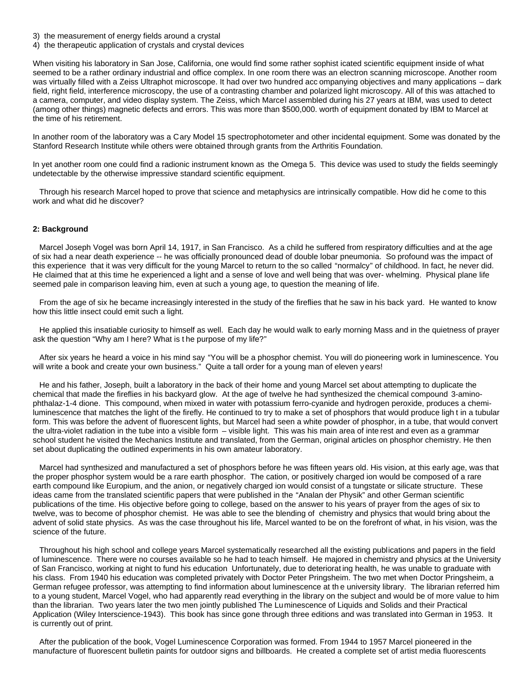- 3) the measurement of energy fields around a crystal
- 4) the therapeutic application of crystals and crystal devices

When visiting his laboratory in San Jose, California, one would find some rather sophist icated scientific equipment inside of what seemed to be a rather ordinary industrial and office complex. In one room there was an electron scanning microscope. Another room was virtually filled with a Zeiss Ultraphot microscope. It had over two hundred acc ompanying objectives and many applications – dark field, right field, interference microscopy, the use of a contrasting chamber and polarized light microscopy. All of this was attached to a camera, computer, and video display system. The Zeiss, which Marcel assembled during his 27 years at IBM, was used to detect (among other things) magnetic defects and errors. This was more than \$500,000. worth of equipment donated by IBM to Marcel at the time of his retirement.

In another room of the laboratory was a Cary Model 15 spectrophotometer and other incidental equipment. Some was donated by the Stanford Research Institute while others were obtained through grants from the Arthritis Foundation.

In yet another room one could find a radionic instrument known as the Omega 5. This device was used to study the fields seemingly undetectable by the otherwise impressive standard scientific equipment.

 Through his research Marcel hoped to prove that science and metaphysics are intrinsically compatible. How did he come to this work and what did he discover?

### **2: Background**

 Marcel Joseph Vogel was born April 14, 1917, in San Francisco. As a child he suffered from respiratory difficulties and at the age of six had a near death experience -- he was officially pronounced dead of double lobar pneumonia. So profound was the impact of this experience that it was very difficult for the young Marcel to return to the so called "normalcy" of childhood. In fact, he never did. He claimed that at this time he experienced a light and a sense of love and well being that was over- whelming. Physical plane life seemed pale in comparison leaving him, even at such a young age, to question the meaning of life.

 From the age of six he became increasingly interested in the study of the fireflies that he saw in his back yard. He wanted to know how this little insect could emit such a light.

 He applied this insatiable curiosity to himself as well. Each day he would walk to early morning Mass and in the quietness of prayer ask the question "Why am I here? What is t he purpose of my life?"

 After six years he heard a voice in his mind say "You will be a phosphor chemist. You will do pioneering work in luminescence. You will write a book and create your own business." Quite a tall order for a young man of eleven years!

 He and his father, Joseph, built a laboratory in the back of their home and young Marcel set about attempting to duplicate the chemical that made the fireflies in his backyard glow. At the age of twelve he had synthesized the chemical compound 3-aminophthalaz-1-4 dione. This compound, when mixed in water with potassium ferro-cyanide and hydrogen peroxide, produces a chemiluminescence that matches the light of the firefly. He continued to try to make a set of phosphors that would produce ligh t in a tubular form. This was before the advent of fluorescent lights, but Marcel had seen a white powder of phosphor, in a tube, that would convert the ultra-violet radiation in the tube into a visible form – visible light. This was his main area of inte rest and even as a grammar school student he visited the Mechanics Institute and translated, from the German, original articles on phosphor chemistry. He then set about duplicating the outlined experiments in his own amateur laboratory.

 Marcel had synthesized and manufactured a set of phosphors before he was fifteen years old. His vision, at this early age, was that the proper phosphor system would be a rare earth phosphor. The cation, or positively charged ion would be composed of a rare earth compound like Europium, and the anion, or negatively charged ion would consist of a tungstate or silicate structure. These ideas came from the translated scientific papers that were published in the "Analan der Physik" and other German scientific publications of the time. His objective before going to college, based on the answer to his years of prayer from the ages of six to twelve, was to become of phosphor chemist. He was able to see the blending of chemistry and physics that would bring about the advent of solid state physics. As was the case throughout his life, Marcel wanted to be on the forefront of what, in his vision, was the science of the future.

 Throughout his high school and college years Marcel systematically researched all the existing publications and papers in the field of luminescence. There were no courses available so he had to teach himself. He majored in chemistry and physics at the University of San Francisco, working at night to fund his education Unfortunately, due to deteriorat ing health, he was unable to graduate with his class. From 1940 his education was completed privately with Doctor Peter Pringsheim. The two met when Doctor Pringsheim, a German refugee professor, was attempting to find information about luminescence at th e university library. The librarian referred him to a young student, Marcel Vogel, who had apparently read everything in the library on the subject and would be of more value to him than the librarian. Two years later the two men jointly published The Luminescence of Liquids and Solids and their Practical Application (Wiley Interscience-1943). This book has since gone through three editions and was translated into German in 1953. It is currently out of print.

 After the publication of the book, Vogel Luminescence Corporation was formed. From 1944 to 1957 Marcel pioneered in the manufacture of fluorescent bulletin paints for outdoor signs and billboards. He created a complete set of artist media fluorescents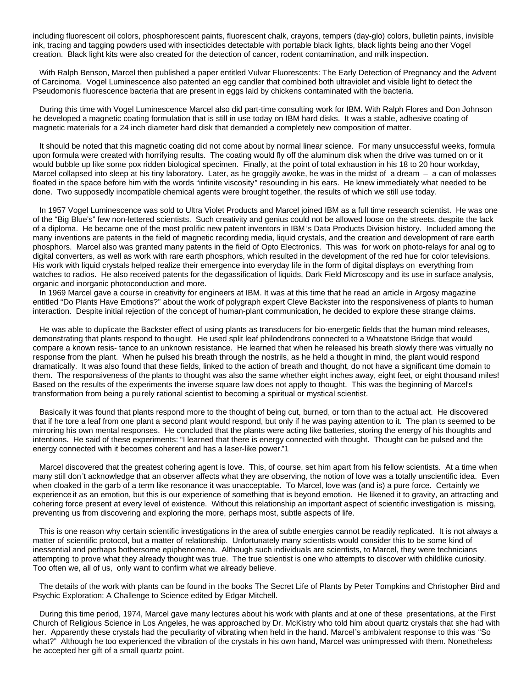including fluorescent oil colors, phosphorescent paints, fluorescent chalk, crayons, tempers (day-glo) colors, bulletin paints, invisible ink, tracing and tagging powders used with insecticides detectable with portable black lights, black lights being ano ther Vogel creation. Black light kits were also created for the detection of cancer, rodent contamination, and milk inspection.

 With Ralph Benson, Marcel then published a paper entitled Vulvar Fluorescents: The Early Detection of Pregnancy and the Advent of Carcinoma. Vogel Luminescence also patented an egg candler that combined both ultraviolet and visible light to detect the Pseudomonis fluorescence bacteria that are present in eggs laid by chickens contaminated with the bacteria.

 During this time with Vogel Luminescence Marcel also did part-time consulting work for IBM. With Ralph Flores and Don Johnson he developed a magnetic coating formulation that is still in use today on IBM hard disks. It was a stable, adhesive coating of magnetic materials for a 24 inch diameter hard disk that demanded a completely new composition of matter.

 It should be noted that this magnetic coating did not come about by normal linear science. For many unsuccessful weeks, formula upon formula were created with horrifying results. The coating would fly off the aluminum disk when the drive was turned on or it would bubble up like some pox ridden biological specimen. Finally, at the point of total exhaustion in his 18 to 20 hour workday, Marcel collapsed into sleep at his tiny laboratory. Later, as he groggily awoke, he was in the midst of a dream – a can of molasses floated in the space before him with the words "infinite viscosity" resounding in his ears. He knew immediately what needed to be done. Two supposedly incompatible chemical agents were brought together, the results of which we still use today.

 In 1957 Vogel Luminescence was sold to Ultra Violet Products and Marcel joined IBM as a full time research scientist. He was one of the "Big Blue's" few non-lettered scientists. Such creativity and genius could not be allowed loose on the streets, despite the lack of a diploma. He became one of the most prolific new patent inventors in IBM 's Data Products Division history. Included among the many inventions are patents in the field of magnetic recording media, liquid crystals, and the creation and development of rare earth phosphors. Marcel also was granted many patents in the field of Opto Electronics. This was for work on photo-relays for anal og to digital converters, as well as work with rare earth phosphors, which resulted in the development of the red hue for color televisions. His work with liquid crystals helped realize their emergence into everyday life in the form of digital displays on everything from watches to radios. He also received patents for the degassification of liquids, Dark Field Microscopy and its use in surface analysis, organic and inorganic photoconduction and more.

 In 1969 Marcel gave a course in creativity for engineers at IBM. It was at this time that he read an article in Argosy magazine entitled "Do Plants Have Emotions?" about the work of polygraph expert Cleve Backster into the responsiveness of plants to human interaction. Despite initial rejection of the concept of human-plant communication, he decided to explore these strange claims.

 He was able to duplicate the Backster effect of using plants as transducers for bio-energetic fields that the human mind releases, demonstrating that plants respond to thought. He used split leaf philodendrons connected to a Wheatstone Bridge that would compare a known resis- tance to an unknown resistance. He learned that when he released his breath slowly there was virtually no response from the plant. When he pulsed his breath through the nostrils, as he held a thought in mind, the plant would respond dramatically. It was also found that these fields, linked to the action of breath and thought, do not have a significant time domain to them. The responsiveness of the plants to thought was also the same whether eight inches away, eight feet, or eight thousand miles! Based on the results of the experiments the inverse square law does not apply to thought. This was the beginning of Marcel's transformation from being a pu rely rational scientist to becoming a spiritual or mystical scientist.

 Basically it was found that plants respond more to the thought of being cut, burned, or torn than to the actual act. He discovered that if he tore a leaf from one plant a second plant would respond, but only if he was paying attention to it. The plan ts seemed to be mirroring his own mental responses. He concluded that the plants were acting like batteries, storing the energy of his thoughts and intentions. He said of these experiments: "I learned that there is energy connected with thought. Thought can be pulsed and the energy connected with it becomes coherent and has a laser-like power."1

 Marcel discovered that the greatest cohering agent is love. This, of course, set him apart from his fellow scientists. At a time when many still don't acknowledge that an observer affects what they are observing, the notion of love was a totally unscientific idea. Even when cloaked in the garb of a term like resonance it was unacceptable. To Marcel, love was (and is) a pure force. Certainly we experience it as an emotion, but this is our experience of something that is beyond emotion. He likened it to gravity, an attracting and cohering force present at every level of existence. Without this relationship an important aspect of scientific investigation is missing, preventing us from discovering and exploring the more, perhaps most, subtle aspects of life.

 This is one reason why certain scientific investigations in the area of subtle energies cannot be readily replicated. It is not always a matter of scientific protocol, but a matter of relationship. Unfortunately many scientists would consider this to be some kind of inessential and perhaps bothersome epiphenomena. Although such individuals are scientists, to Marcel, they were technicians attempting to prove what they already thought was true. The true scientist is one who attempts to discover with childlike curiosity. Too often we, all of us, only want to confirm what we already believe.

 The details of the work with plants can be found in the books The Secret Life of Plants by Peter Tompkins and Christopher Bird and Psychic Exploration: A Challenge to Science edited by Edgar Mitchell.

 During this time period, 1974, Marcel gave many lectures about his work with plants and at one of these presentations, at the First Church of Religious Science in Los Angeles, he was approached by Dr. McKistry who told him about quartz crystals that she had with her. Apparently these crystals had the peculiarity of vibrating when held in the hand. Marcel's ambivalent response to this was "So what?" Although he too experienced the vibration of the crystals in his own hand, Marcel was unimpressed with them. Nonetheless he accepted her gift of a small quartz point.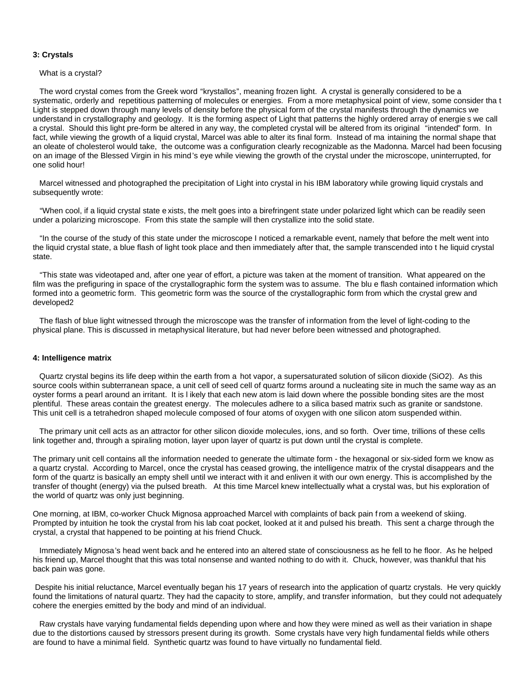### **3: Crystals**

#### What is a crystal?

 The word crystal comes from the Greek word "krystallos", meaning frozen light. A crystal is generally considered to be a systematic, orderly and repetitious patterning of molecules or energies. From a more metaphysical point of view, some consider tha t Light is stepped down through many levels of density before the physical form of the crystal manifests through the dynamics we understand in crystallography and geology. It is the forming aspect of Light that patterns the highly ordered array of energie s we call a crystal. Should this light pre-form be altered in any way, the completed crystal will be altered from its original "intended" form. In fact, while viewing the growth of a liquid crystal, Marcel was able to alter its final form. Instead of ma intaining the normal shape that an oleate of cholesterol would take, the outcome was a configuration clearly recognizable as the Madonna. Marcel had been focusing on an image of the Blessed Virgin in his mind's eye while viewing the growth of the crystal under the microscope, uninterrupted, for one solid hour!

 Marcel witnessed and photographed the precipitation of Light into crystal in his IBM laboratory while growing liquid crystals and subsequently wrote:

 "When cool, if a liquid crystal state e xists, the melt goes into a birefringent state under polarized light which can be readily seen under a polarizing microscope. From this state the sample will then crystallize into the solid state.

 "In the course of the study of this state under the microscope I noticed a remarkable event, namely that before the melt went into the liquid crystal state, a blue flash of light took place and then immediately after that, the sample transcended into t he liquid crystal state.

 "This state was videotaped and, after one year of effort, a picture was taken at the moment of transition. What appeared on the film was the prefiguring in space of the crystallographic form the system was to assume. The blu e flash contained information which formed into a geometric form. This geometric form was the source of the crystallographic form from which the crystal grew and developed2

 The flash of blue light witnessed through the microscope was the transfer of information from the level of light-coding to the physical plane. This is discussed in metaphysical literature, but had never before been witnessed and photographed.

### **4: Intelligence matrix**

 Quartz crystal begins its life deep within the earth from a hot vapor, a supersaturated solution of silicon dioxide (SiO2). As this source cools within subterranean space, a unit cell of seed cell of quartz forms around a nucleating site in much the same way as an oyster forms a pearl around an irritant. It is l ikely that each new atom is laid down where the possible bonding sites are the most plentiful. These areas contain the greatest energy. The molecules adhere to a silica based matrix such as granite or sandstone. This unit cell is a tetrahedron shaped molecule composed of four atoms of oxygen with one silicon atom suspended within.

 The primary unit cell acts as an attractor for other silicon dioxide molecules, ions, and so forth. Over time, trillions of these cells link together and, through a spiraling motion, layer upon layer of quartz is put down until the crystal is complete.

The primary unit cell contains all the information needed to generate the ultimate form - the hexagonal or six-sided form we know as a quartz crystal. According to Marcel, once the crystal has ceased growing, the intelligence matrix of the crystal disappears and the form of the quartz is basically an empty shell until we interact with it and enliven it with our own energy. This is accomplished by the transfer of thought (energy) via the pulsed breath. At this time Marcel knew intellectually what a crystal was, but his exploration of the world of quartz was only just beginning.

One morning, at IBM, co-worker Chuck Mignosa approached Marcel with complaints of back pain f rom a weekend of skiing. Prompted by intuition he took the crystal from his lab coat pocket, looked at it and pulsed his breath. This sent a charge through the crystal, a crystal that happened to be pointing at his friend Chuck.

 Immediately Mignosa's head went back and he entered into an altered state of consciousness as he fell to he floor. As he helped his friend up, Marcel thought that this was total nonsense and wanted nothing to do with it. Chuck, however, was thankful that his back pain was gone.

 Despite his initial reluctance, Marcel eventually began his 17 years of research into the application of quartz crystals. He very quickly found the limitations of natural quartz. They had the capacity to store, amplify, and transfer information, but they could not adequately cohere the energies emitted by the body and mind of an individual.

 Raw crystals have varying fundamental fields depending upon where and how they were mined as well as their variation in shape due to the distortions caused by stressors present during its growth. Some crystals have very high fundamental fields while others are found to have a minimal field. Synthetic quartz was found to have virtually no fundamental field.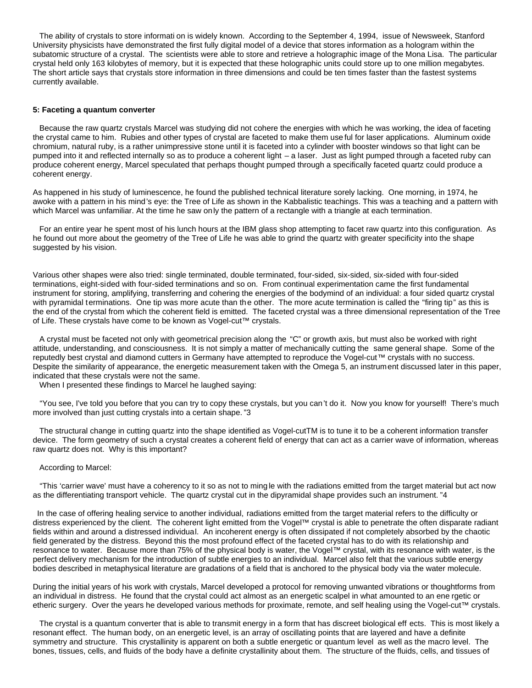The ability of crystals to store informati on is widely known. According to the September 4, 1994, issue of Newsweek, Stanford University physicists have demonstrated the first fully digital model of a device that stores information as a hologram within the subatomic structure of a crystal. The scientists were able to store and retrieve a holographic image of the Mona Lisa. The particular crystal held only 163 kilobytes of memory, but it is expected that these holographic units could store up to one million megabytes. The short article says that crystals store information in three dimensions and could be ten times faster than the fastest systems currently available.

### **5: Faceting a quantum converter**

 Because the raw quartz crystals Marcel was studying did not cohere the energies with which he was working, the idea of faceting the crystal came to him. Rubies and other types of crystal are faceted to make them use ful for laser applications. Aluminum oxide chromium, natural ruby, is a rather unimpressive stone until it is faceted into a cylinder with booster windows so that light can be pumped into it and reflected internally so as to produce a coherent light – a laser. Just as light pumped through a faceted ruby can produce coherent energy, Marcel speculated that perhaps thought pumped through a specifically faceted quartz could produce a coherent energy.

As happened in his study of luminescence, he found the published technical literature sorely lacking. One morning, in 1974, he awoke with a pattern in his mind's eye: the Tree of Life as shown in the Kabbalistic teachings. This was a teaching and a pattern with which Marcel was unfamiliar. At the time he saw only the pattern of a rectangle with a triangle at each termination.

 For an entire year he spent most of his lunch hours at the IBM glass shop attempting to facet raw quartz into this configuration. As he found out more about the geometry of the Tree of Life he was able to grind the quartz with greater specificity into the shape suggested by his vision.

Various other shapes were also tried: single terminated, double terminated, four-sided, six-sided, six-sided with four-sided terminations, eight-sided with four-sided terminations and so on. From continual experimentation came the first fundamental instrument for storing, amplifying, transferring and cohering the energies of the bodymind of an individual: a four sided quartz crystal with pyramidal terminations. One tip was more acute than the other. The more acute termination is called the "firing tip" as this is the end of the crystal from which the coherent field is emitted. The faceted crystal was a three dimensional representation of the Tree of Life. These crystals have come to be known as Vogel-cut™ crystals.

 A crystal must be faceted not only with geometrical precision along the "C" or growth axis, but must also be worked with right attitude, understanding, and consciousness. It is not simply a matter of mechanically cutting the same general shape. Some of the reputedly best crystal and diamond cutters in Germany have attempted to reproduce the Vogel-cut™ crystals with no success. Despite the similarity of appearance, the energetic measurement taken with the Omega 5, an instrument discussed later in this paper, indicated that these crystals were not the same.

When I presented these findings to Marcel he laughed saying:

 "You see, I've told you before that you can try to copy these crystals, but you can't do it. Now you know for yourself! There's much more involved than just cutting crystals into a certain shape. "3

 The structural change in cutting quartz into the shape identified as Vogel-cutTM is to tune it to be a coherent information transfer device. The form geometry of such a crystal creates a coherent field of energy that can act as a carrier wave of information, whereas raw quartz does not. Why is this important?

### According to Marcel:

 "This 'carrier wave' must have a coherency to it so as not to ming le with the radiations emitted from the target material but act now as the differentiating transport vehicle. The quartz crystal cut in the dipyramidal shape provides such an instrument. "4

 In the case of offering healing service to another individual, radiations emitted from the target material refers to the difficulty or distress experienced by the client. The coherent light emitted from the Vogel™ crystal is able to penetrate the often disparate radiant fields within and around a distressed individual. An incoherent energy is often dissipated if not completely absorbed by the chaotic field generated by the distress. Beyond this the most profound effect of the faceted crystal has to do with its relationship and resonance to water. Because more than 75% of the physical body is water, the Vogel™ crystal, with its resonance with water, is the perfect delivery mechanism for the introduction of subtle energies to an individual. Marcel also felt that the various subtle energy bodies described in metaphysical literature are gradations of a field that is anchored to the physical body via the water molecule.

During the initial years of his work with crystals, Marcel developed a protocol for removing unwanted vibrations or thoughtforms from an individual in distress. He found that the crystal could act almost as an energetic scalpel in what amounted to an ene rgetic or etheric surgery. Over the years he developed various methods for proximate, remote, and self healing using the Vogel-cut™ crystals.

 The crystal is a quantum converter that is able to transmit energy in a form that has discreet biological eff ects. This is most likely a resonant effect. The human body, on an energetic level, is an array of oscillating points that are layered and have a definite symmetry and structure. This crystallinity is apparent on both a subtle energetic or quantum level as well as the macro level. The bones, tissues, cells, and fluids of the body have a definite crystallinity about them. The structure of the fluids, cells, and tissues of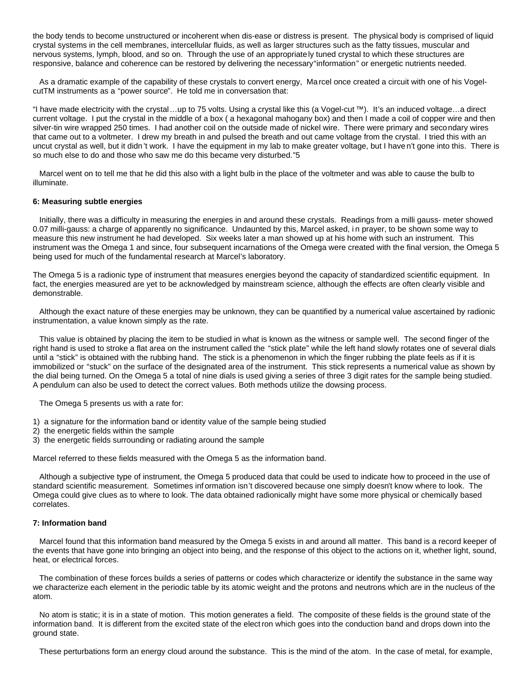the body tends to become unstructured or incoherent when dis-ease or distress is present. The physical body is comprised of liquid crystal systems in the cell membranes, intercellular fluids, as well as larger structures such as the fatty tissues, muscular and nervous systems, lymph, blood, and so on. Through the use of an appropriately tuned crystal to which these structures are responsive, balance and coherence can be restored by delivering the necessary "information" or energetic nutrients needed.

 As a dramatic example of the capability of these crystals to convert energy, Ma rcel once created a circuit with one of his VogelcutTM instruments as a "power source". He told me in conversation that:

"I have made electricity with the crystal…up to 75 volts. Using a crystal like this (a Vogel-cut ™). It's an induced voltage…a direct current voltage. I put the crystal in the middle of a box ( a hexagonal mahogany box) and then I made a coil of copper wire and then silver-tin wire wrapped 250 times. I had another coil on the outside made of nickel wire. There were primary and secondary wires that came out to a voltmeter. I drew my breath in and pulsed the breath and out came voltage from the crystal. I tried this with an uncut crystal as well, but it didn't work. I have the equipment in my lab to make greater voltage, but I have n't gone into this. There is so much else to do and those who saw me do this became very disturbed."5

 Marcel went on to tell me that he did this also with a light bulb in the place of the voltmeter and was able to cause the bulb to illuminate.

### **6: Measuring subtle energies**

 Initially, there was a difficulty in measuring the energies in and around these crystals. Readings from a milli gauss- meter showed 0.07 milli-gauss: a charge of apparently no significance. Undaunted by this, Marcel asked, i n prayer, to be shown some way to measure this new instrument he had developed. Six weeks later a man showed up at his home with such an instrument. This instrument was the Omega 1 and since, four subsequent incarnations of the Omega were created with the final version, the Omega 5 being used for much of the fundamental research at Marcel's laboratory.

The Omega 5 is a radionic type of instrument that measures energies beyond the capacity of standardized scientific equipment. In fact, the energies measured are yet to be acknowledged by mainstream science, although the effects are often clearly visible and demonstrable.

 Although the exact nature of these energies may be unknown, they can be quantified by a numerical value ascertained by radionic instrumentation, a value known simply as the rate.

 This value is obtained by placing the item to be studied in what is known as the witness or sample well. The second finger of the right hand is used to stroke a flat area on the instrument called the "stick plate" while the left hand slowly rotates one of several dials until a "stick" is obtained with the rubbing hand. The stick is a phenomenon in which the finger rubbing the plate feels as if it is immobilized or "stuck" on the surface of the designated area of the instrument. This stick represents a numerical value as shown by the dial being turned. On the Omega 5 a total of nine dials is used giving a series of three 3 digit rates for the sample being studied. A pendulum can also be used to detect the correct values. Both methods utilize the dowsing process.

The Omega 5 presents us with a rate for:

- 1) a signature for the information band or identity value of the sample being studied
- 2) the energetic fields within the sample
- 3) the energetic fields surrounding or radiating around the sample

Marcel referred to these fields measured with the Omega 5 as the information band.

 Although a subjective type of instrument, the Omega 5 produced data that could be used to indicate how to proceed in the use of standard scientific measurement. Sometimes inf ormation isn't discovered because one simply doesn't know where to look. The Omega could give clues as to where to look. The data obtained radionically might have some more physical or chemically based correlates.

## **7: Information band**

 Marcel found that this information band measured by the Omega 5 exists in and around all matter. This band is a record keeper of the events that have gone into bringing an object into being, and the response of this object to the actions on it, whether light, sound, heat, or electrical forces.

 The combination of these forces builds a series of patterns or codes which characterize or identify the substance in the same way we characterize each element in the periodic table by its atomic weight and the protons and neutrons which are in the nucleus of the atom.

 No atom is static; it is in a state of motion. This motion generates a field. The composite of these fields is the ground state of the information band. It is different from the excited state of the electron which goes into the conduction band and drops down into the ground state.

These perturbations form an energy cloud around the substance. This is the mind of the atom. In the case of metal, for example,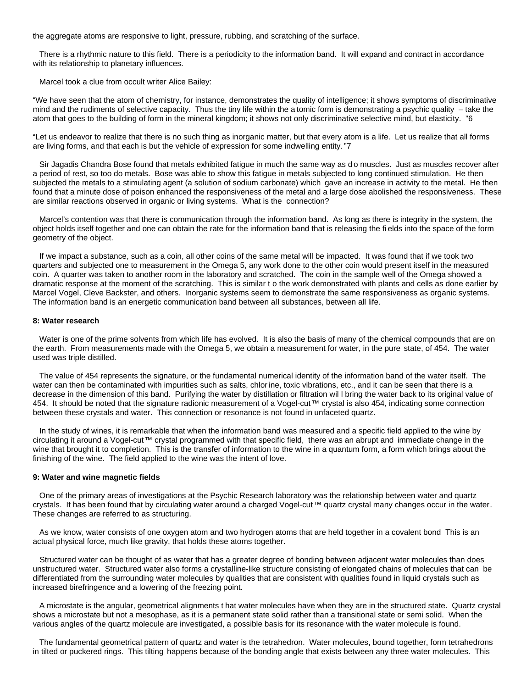the aggregate atoms are responsive to light, pressure, rubbing, and scratching of the surface.

 There is a rhythmic nature to this field. There is a periodicity to the information band. It will expand and contract in accordance with its relationship to planetary influences.

Marcel took a clue from occult writer Alice Bailey:

"We have seen that the atom of chemistry, for instance, demonstrates the quality of intelligence; it shows symptoms of discriminative mind and the rudiments of selective capacity. Thus the tiny life within the a tomic form is demonstrating a psychic quality – take the atom that goes to the building of form in the mineral kingdom; it shows not only discriminative selective mind, but elasticity. "6

"Let us endeavor to realize that there is no such thing as inorganic matter, but that every atom is a life. Let us realize that all forms are living forms, and that each is but the vehicle of expression for some indwelling entity."7

Sir Jagadis Chandra Bose found that metals exhibited fatigue in much the same way as do muscles. Just as muscles recover after a period of rest, so too do metals. Bose was able to show this fatigue in metals subjected to long continued stimulation. He then subjected the metals to a stimulating agent (a solution of sodium carbonate) which gave an increase in activity to the metal. He then found that a minute dose of poison enhanced the responsiveness of the metal and a large dose abolished the responsiveness. These are similar reactions observed in organic or living systems. What is the connection?

 Marcel's contention was that there is communication through the information band. As long as there is integrity in the system, the object holds itself together and one can obtain the rate for the information band that is releasing the fi elds into the space of the form geometry of the object.

 If we impact a substance, such as a coin, all other coins of the same metal will be impacted. It was found that if we took two quarters and subjected one to measurement in the Omega 5, any work done to the other coin would present itself in the measured coin. A quarter was taken to another room in the laboratory and scratched. The coin in the sample well of the Omega showed a dramatic response at the moment of the scratching. This is similar t o the work demonstrated with plants and cells as done earlier by Marcel Vogel, Cleve Backster, and others. Inorganic systems seem to demonstrate the same responsiveness as organic systems. The information band is an energetic communication band between all substances, between all life.

#### **8: Water research**

 Water is one of the prime solvents from which life has evolved. It is also the basis of many of the chemical compounds that are on the earth. From measurements made with the Omega 5, we obtain a measurement for water, in the pure state, of 454. The water used was triple distilled.

 The value of 454 represents the signature, or the fundamental numerical identity of the information band of the water itself. The water can then be contaminated with impurities such as salts, chlorine, toxic vibrations, etc., and it can be seen that there is a decrease in the dimension of this band. Purifying the water by distillation or filtration wil l bring the water back to its original value of 454. It should be noted that the signature radionic measurement of a Vogel-cut™ crystal is also 454, indicating some connection between these crystals and water. This connection or resonance is not found in unfaceted quartz.

 In the study of wines, it is remarkable that when the information band was measured and a specific field applied to the wine by circulating it around a Vogel-cut™ crystal programmed with that specific field, there was an abrupt and immediate change in the wine that brought it to completion. This is the transfer of information to the wine in a quantum form, a form which brings about the finishing of the wine. The field applied to the wine was the intent of love.

# **9: Water and wine magnetic fields**

 One of the primary areas of investigations at the Psychic Research laboratory was the relationship between water and quartz crystals. It has been found that by circulating water around a charged Vogel-cut™ quartz crystal many changes occur in the water. These changes are referred to as structuring.

 As we know, water consists of one oxygen atom and two hydrogen atoms that are held together in a covalent bond This is an actual physical force, much like gravity, that holds these atoms together.

 Structured water can be thought of as water that has a greater degree of bonding between adjacent water molecules than does unstructured water. Structured water also forms a crystalline-like structure consisting of elongated chains of molecules that can be differentiated from the surrounding water molecules by qualities that are consistent with qualities found in liquid crystals such as increased birefringence and a lowering of the freezing point.

 A microstate is the angular, geometrical alignments t hat water molecules have when they are in the structured state. Quartz crystal shows a microstate but not a mesophase, as it is a permanent state solid rather than a transitional state or semi solid. When the various angles of the quartz molecule are investigated, a possible basis for its resonance with the water molecule is found.

 The fundamental geometrical pattern of quartz and water is the tetrahedron. Water molecules, bound together, form tetrahedrons in tilted or puckered rings. This tilting happens because of the bonding angle that exists between any three water molecules. This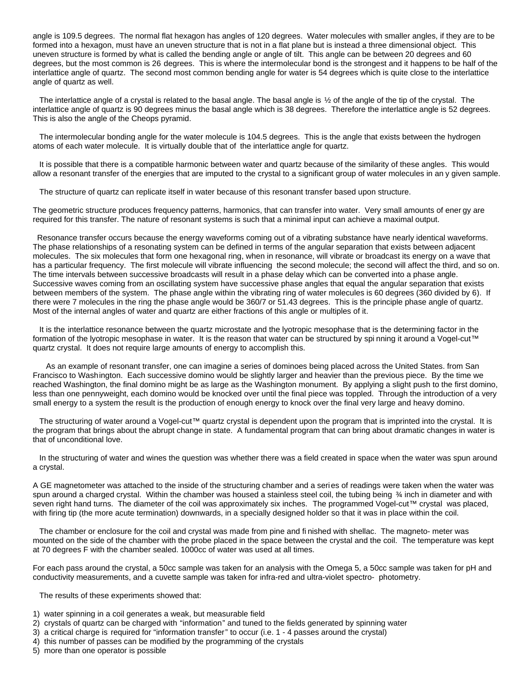angle is 109.5 degrees. The normal flat hexagon has angles of 120 degrees. Water molecules with smaller angles, if they are to be formed into a hexagon, must have an uneven structure that is not in a flat plane but is instead a three dimensional object. This uneven structure is formed by what is called the bending angle or angle of tilt. This angle can be between 20 degrees and 60 degrees, but the most common is 26 degrees. This is where the intermolecular bond is the strongest and it happens to be half of the interlattice angle of quartz. The second most common bending angle for water is 54 degrees which is quite close to the interlattice angle of quartz as well.

The interlattice angle of a crystal is related to the basal angle. The basal angle is  $\frac{1}{2}$  of the angle of the tip of the crystal. The interlattice angle of quartz is 90 degrees minus the basal angle which is 38 degrees. Therefore the interlattice angle is 52 degrees. This is also the angle of the Cheops pyramid.

 The intermolecular bonding angle for the water molecule is 104.5 degrees. This is the angle that exists between the hydrogen atoms of each water molecule. It is virtually double that of the interlattice angle for quartz.

 It is possible that there is a compatible harmonic between water and quartz because of the similarity of these angles. This would allow a resonant transfer of the energies that are imputed to the crystal to a significant group of water molecules in an y given sample.

The structure of quartz can replicate itself in water because of this resonant transfer based upon structure.

The geometric structure produces frequency patterns, harmonics, that can transfer into water. Very small amounts of ener gy are required for this transfer. The nature of resonant systems is such that a minimal input can achieve a maximal output.

 Resonance transfer occurs because the energy waveforms coming out of a vibrating substance have nearly identical waveforms. The phase relationships of a resonating system can be defined in terms of the angular separation that exists between adjacent molecules. The six molecules that form one hexagonal ring, when in resonance, will vibrate or broadcast its energy on a wave that has a particular frequency. The first molecule will vibrate influencing the second molecule; the second will affect the third, and so on. The time intervals between successive broadcasts will result in a phase delay which can be converted into a phase angle. Successive waves coming from an oscillating system have successive phase angles that equal the angular separation that exists between members of the system. The phase angle within the vibrating ring of water molecules is 60 degrees (360 divided by 6). If there were 7 molecules in the ring the phase angle would be 360/7 or 51.43 degrees. This is the principle phase angle of quartz. Most of the internal angles of water and quartz are either fractions of this angle or multiples of it.

 It is the interlattice resonance between the quartz microstate and the lyotropic mesophase that is the determining factor in the formation of the lyotropic mesophase in water. It is the reason that water can be structured by spi nning it around a Vogel-cut™ quartz crystal. It does not require large amounts of energy to accomplish this.

 As an example of resonant transfer, one can imagine a series of dominoes being placed across the United States. from San Francisco to Washington. Each successive domino would be slightly larger and heavier than the previous piece. By the time we reached Washington, the final domino might be as large as the Washington monument. By applying a slight push to the first domino, less than one pennyweight, each domino would be knocked over until the final piece was toppled. Through the introduction of a very small energy to a system the result is the production of enough energy to knock over the final very large and heavy domino.

 The structuring of water around a Vogel-cut™ quartz crystal is dependent upon the program that is imprinted into the crystal. It is the program that brings about the abrupt change in state. A fundamental program that can bring about dramatic changes in water is that of unconditional love.

 In the structuring of water and wines the question was whether there was a field created in space when the water was spun around a crystal.

A GE magnetometer was attached to the inside of the structuring chamber and a series of readings were taken when the water was spun around a charged crystal. Within the chamber was housed a stainless steel coil, the tubing being % inch in diameter and with seven right hand turns. The diameter of the coil was approximately six inches. The programmed Vogel-cut™ crystal was placed, with firing tip (the more acute termination) downwards, in a specially designed holder so that it was in place within the coil.

 The chamber or enclosure for the coil and crystal was made from pine and fi nished with shellac. The magneto- meter was mounted on the side of the chamber with the probe placed in the space between the crystal and the coil. The temperature was kept at 70 degrees F with the chamber sealed. 1000cc of water was used at all times.

For each pass around the crystal, a 50cc sample was taken for an analysis with the Omega 5, a 50cc sample was taken for pH and conductivity measurements, and a cuvette sample was taken for infra-red and ultra-violet spectro- photometry.

The results of these experiments showed that:

- 1) water spinning in a coil generates a weak, but measurable field
- 2) crystals of quartz can be charged with "information" and tuned to the fields generated by spinning water
- 3) a critical charge is required for "information transfer" to occur (i.e. 1 4 passes around the crystal)
- 4) this number of passes can be modified by the programming of the crystals
- 5) more than one operator is possible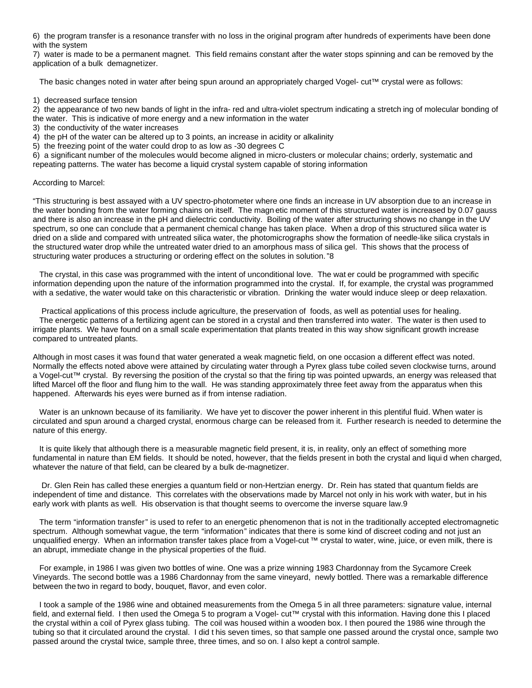6) the program transfer is a resonance transfer with no loss in the original program after hundreds of experiments have been done with the system

7) water is made to be a permanent magnet. This field remains constant after the water stops spinning and can be removed by the application of a bulk demagnetizer.

The basic changes noted in water after being spun around an appropriately charged Vogel- cut™ crystal were as follows:

1) decreased surface tension

2) the appearance of two new bands of light in the infra- red and ultra-violet spectrum indicating a stretch ing of molecular bonding of the water. This is indicative of more energy and a new information in the water

- 3) the conductivity of the water increases
- 4) the pH of the water can be altered up to 3 points, an increase in acidity or alkalinity
- 5) the freezing point of the water could drop to as low as -30 degrees C

6) a significant number of the molecules would become aligned in micro-clusters or molecular chains; orderly, systematic and repeating patterns. The water has become a liquid crystal system capable of storing information

### According to Marcel:

"This structuring is best assayed with a UV spectro-photometer where one finds an increase in UV absorption due to an increase in the water bonding from the water forming chains on itself. The magn etic moment of this structured water is increased by 0.07 gauss and there is also an increase in the pH and dielectric conductivity. Boiling of the water after structuring shows no change in the UV spectrum, so one can conclude that a permanent chemical change has taken place. When a drop of this structured silica water is dried on a slide and compared with untreated silica water, the photomicrographs show the formation of needle-like silica crystals in the structured water drop while the untreated water dried to an amorphous mass of silica gel. This shows that the process of structuring water produces a structuring or ordering effect on the solutes in solution."8

 The crystal, in this case was programmed with the intent of unconditional love. The wat er could be programmed with specific information depending upon the nature of the information programmed into the crystal. If, for example, the crystal was programmed with a sedative, the water would take on this characteristic or vibration. Drinking the water would induce sleep or deep relaxation.

 Practical applications of this process include agriculture, the preservation of foods, as well as potential uses for healing. The energetic patterns of a fertilizing agent can be stored in a crystal and then transferred into water. The water is then used to irrigate plants. We have found on a small scale experimentation that plants treated in this way show significant growth increase compared to untreated plants.

Although in most cases it was found that water generated a weak magnetic field, on one occasion a different effect was noted. Normally the effects noted above were attained by circulating water through a Pyrex glass tube coiled seven clockwise turns, around a Vogel-cut™ crystal. By reversing the position of the crystal so that the firing tip was pointed upwards, an energy was released that lifted Marcel off the floor and flung him to the wall. He was standing approximately three feet away from the apparatus when this happened. Afterwards his eyes were burned as if from intense radiation.

 Water is an unknown because of its familiarity. We have yet to discover the power inherent in this plentiful fluid. When water is circulated and spun around a charged crystal, enormous charge can be released from it. Further research is needed to determine the nature of this energy.

 It is quite likely that although there is a measurable magnetic field present, it is, in reality, only an effect of something more fundamental in nature than EM fields. It should be noted, however, that the fields present in both the crystal and liqui d when charged, whatever the nature of that field, can be cleared by a bulk de-magnetizer.

 Dr. Glen Rein has called these energies a quantum field or non-Hertzian energy. Dr. Rein has stated that quantum fields are independent of time and distance. This correlates with the observations made by Marcel not only in his work with water, but in his early work with plants as well. His observation is that thought seems to overcome the inverse square law.9

 The term "information transfer" is used to refer to an energetic phenomenon that is not in the traditionally accepted electromagnetic spectrum. Although somewhat vague, the term "information" indicates that there is some kind of discreet coding and not just an unqualified energy. When an information transfer takes place from a Vogel-cut ™ crystal to water, wine, juice, or even milk, there is an abrupt, immediate change in the physical properties of the fluid.

 For example, in 1986 I was given two bottles of wine. One was a prize winning 1983 Chardonnay from the Sycamore Creek Vineyards. The second bottle was a 1986 Chardonnay from the same vineyard, newly bottled. There was a remarkable difference between the two in regard to body, bouquet, flavor, and even color.

 I took a sample of the 1986 wine and obtained measurements from the Omega 5 in all three parameters: signature value, internal field, and external field. I then used the Omega 5 to program a Vogel- cut™ crystal with this information. Having done this I placed the crystal within a coil of Pyrex glass tubing. The coil was housed within a wooden box. I then poured the 1986 wine through the tubing so that it circulated around the crystal. I did t his seven times, so that sample one passed around the crystal once, sample two passed around the crystal twice, sample three, three times, and so on. I also kept a control sample.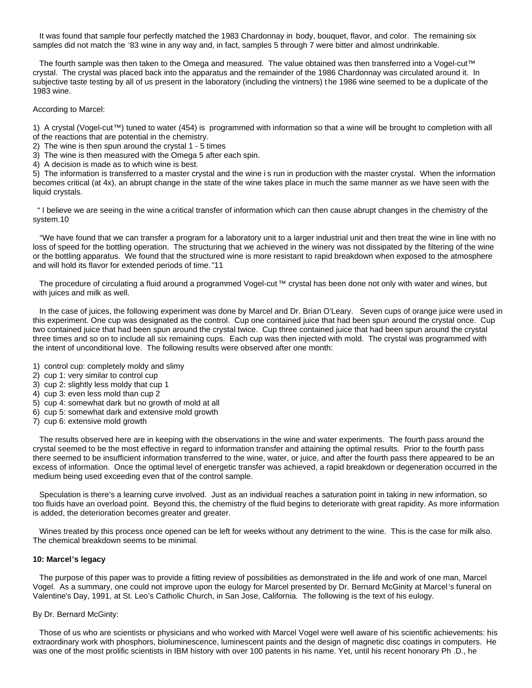It was found that sample four perfectly matched the 1983 Chardonnay in body, bouquet, flavor, and color. The remaining six samples did not match the '83 wine in any way and, in fact, samples 5 through 7 were bitter and almost undrinkable.

 The fourth sample was then taken to the Omega and measured. The value obtained was then transferred into a Vogel-cut™ crystal. The crystal was placed back into the apparatus and the remainder of the 1986 Chardonnay was circulated around it. In subjective taste testing by all of us present in the laboratory (including the vintners) t he 1986 wine seemed to be a duplicate of the 1983 wine.

According to Marcel:

1) A crystal (Vogel-cut™) tuned to water (454) is programmed with information so that a wine will be brought to completion with all of the reactions that are potential in the chemistry.

2) The wine is then spun around the crystal 1 - 5 times

3) The wine is then measured with the Omega 5 after each spin.

4) A decision is made as to which wine is best.

5) The information is transferred to a master crystal and the wine i s run in production with the master crystal. When the information becomes critical (at 4x), an abrupt change in the state of the wine takes place in much the same manner as we have seen with the liquid crystals.

 " I believe we are seeing in the wine a critical transfer of information which can then cause abrupt changes in the chemistry of the system.10

 "We have found that we can transfer a program for a laboratory unit to a larger industrial unit and then treat the wine in line with no loss of speed for the bottling operation. The structuring that we achieved in the winery was not dissipated by the filtering of the wine or the bottling apparatus. We found that the structured wine is more resistant to rapid breakdown when exposed to the atmosphere and will hold its flavor for extended periods of time."11

The procedure of circulating a fluid around a programmed Vogel-cut™ crystal has been done not only with water and wines, but with juices and milk as well.

 In the case of juices, the following experiment was done by Marcel and Dr. Brian O'Leary. Seven cups of orange juice were used in this experiment. One cup was designated as the control. Cup one contained juice that had been spun around the crystal once. Cup two contained juice that had been spun around the crystal twice. Cup three contained juice that had been spun around the crystal three times and so on to include all six remaining cups. Each cup was then injected with mold. The crystal was programmed with the intent of unconditional love. The following results were observed after one month:

- 1) control cup: completely moldy and slimy
- 2) cup 1: very similar to control cup
- 3) cup 2: slightly less moldy that cup 1
- 4) cup 3: even less mold than cup 2
- 5) cup 4: somewhat dark but no growth of mold at all
- 6) cup 5: somewhat dark and extensive mold growth
- 7) cup 6: extensive mold growth

 The results observed here are in keeping with the observations in the wine and water experiments. The fourth pass around the crystal seemed to be the most effective in regard to information transfer and attaining the optimal results. Prior to the fourth pass there seemed to be insufficient information transferred to the wine, water, or juice, and after the fourth pass there appeared to be an excess of information. Once the optimal level of energetic transfer was achieved, a rapid breakdown or degeneration occurred in the medium being used exceeding even that of the control sample.

 Speculation is there's a learning curve involved. Just as an individual reaches a saturation point in taking in new information, so too fluids have an overload point. Beyond this, the chemistry of the fluid begins to deteriorate with great rapidity. As more information is added, the deterioration becomes greater and greater.

 Wines treated by this process once opened can be left for weeks without any detriment to the wine. This is the case for milk also. The chemical breakdown seems to be minimal.

### **10: Marcel's legacy**

 The purpose of this paper was to provide a fitting review of possibilities as demonstrated in the life and work of one man, Marcel Vogel. As a summary, one could not improve upon the eulogy for Marcel presented by Dr. Bernard McGinity at Marcel 's funeral on Valentine's Day, 1991, at St. Leo's Catholic Church, in San Jose, California. The following is the text of his eulogy.

### By Dr. Bernard McGinty:

 Those of us who are scientists or physicians and who worked with Marcel Vogel were well aware of his scientific achievements: his extraordinary work with phosphors, bioluminescence, luminescent paints and the design of magnetic disc coatings in computers. He was one of the most prolific scientists in IBM history with over 100 patents in his name. Yet, until his recent honorary Ph .D., he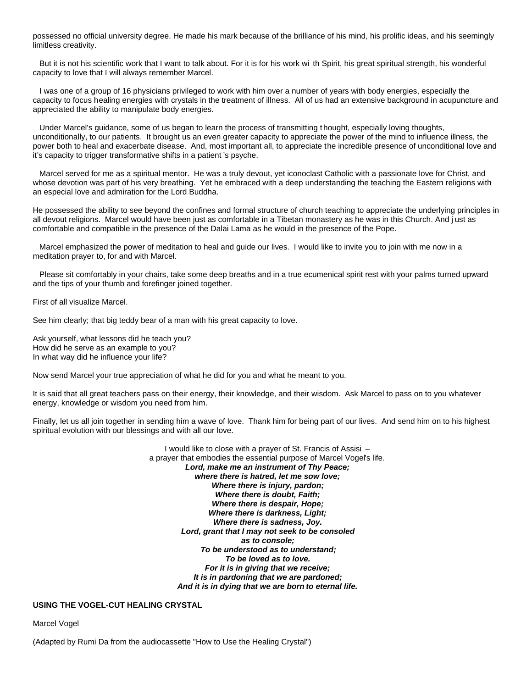possessed no official university degree. He made his mark because of the brilliance of his mind, his prolific ideas, and his seemingly limitless creativity.

 But it is not his scientific work that I want to talk about. For it is for his work wi th Spirit, his great spiritual strength, his wonderful capacity to love that I will always remember Marcel.

 I was one of a group of 16 physicians privileged to work with him over a number of years with body energies, especially the capacity to focus healing energies with crystals in the treatment of illness. All of us had an extensive background in acupuncture and appreciated the ability to manipulate body energies.

 Under Marcel's guidance, some of us began to learn the process of transmitting t hought, especially loving thoughts, unconditionally, to our patients. It brought us an even greater capacity to appreciate the power of the mind to influence illness, the power both to heal and exacerbate disease. And, most important all, to appreciate the incredible presence of unconditional love and it's capacity to trigger transformative shifts in a patient 's psyche.

 Marcel served for me as a spiritual mentor. He was a truly devout, yet iconoclast Catholic with a passionate love for Christ, and whose devotion was part of his very breathing. Yet he embraced with a deep understanding the teaching the Eastern religions with an especial love and admiration for the Lord Buddha.

He possessed the ability to see beyond the confines and formal structure of church teaching to appreciate the underlying principles in all devout religions. Marcel would have been just as comfortable in a Tibetan monastery as he was in this Church. And j ust as comfortable and compatible in the presence of the Dalai Lama as he would in the presence of the Pope.

 Marcel emphasized the power of meditation to heal and guide our lives. I would like to invite you to join with me now in a meditation prayer to, for and with Marcel.

 Please sit comfortably in your chairs, take some deep breaths and in a true ecumenical spirit rest with your palms turned upward and the tips of your thumb and forefinger joined together.

First of all visualize Marcel.

See him clearly; that big teddy bear of a man with his great capacity to love.

Ask yourself, what lessons did he teach you? How did he serve as an example to you? In what way did he influence your life?

Now send Marcel your true appreciation of what he did for you and what he meant to you.

It is said that all great teachers pass on their energy, their knowledge, and their wisdom. Ask Marcel to pass on to you whatever energy, knowledge or wisdom you need from him.

Finally, let us all join together in sending him a wave of love. Thank him for being part of our lives. And send him on to his highest spiritual evolution with our blessings and with all our love.

> I would like to close with a prayer of St. Francis of Assisi – a prayer that embodies the essential purpose of Marcel Vogel's life. *Lord, make me an instrument of Thy Peace; where there is hatred, let me sow love; Where there is injury, pardon; Where there is doubt, Faith; Where there is despair, Hope; Where there is darkness, Light; Where there is sadness, Joy. Lord, grant that I may not seek to be consoled as to console; To be understood as to understand; To be loved as to love. For it is in giving that we receive; It is in pardoning that we are pardoned; And it is in dying that we are born to eternal life.*

## **USING THE VOGEL-CUT HEALING CRYSTAL**

Marcel Vogel

(Adapted by Rumi Da from the audiocassette "How to Use the Healing Crystal")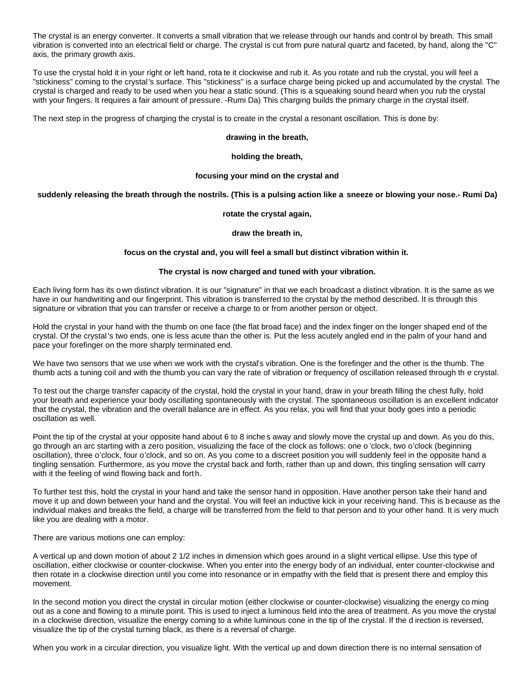The crystal is an energy converter. It converts a small vibration that we release through our hands and control by breath. This small vibration is converted into an electrical field or charge. The crystal is cut from pure natural quartz and faceted, by hand, along the "C" axis, the primary growth axis.

To use the crystal hold it in your right or left hand, rota te it clockwise and rub it. As you rotate and rub the crystal, you will feel a "stickiness" coming to the crystal's surface. This "stickiness" is a surface charge being picked up and accumulated by the crystal. The crystal is charged and ready to be used when you hear a static sound. (This is a squeaking sound heard when you rub the crystal with your fingers. It requires a fair amount of pressure. -Rumi Da) This charging builds the primary charge in the crystal itself.

The next step in the progress of charging the crystal is to create in the crystal a resonant oscillation. This is done by:

### **drawing in the breath,**

### **holding the breath,**

## **focusing your mind on the crystal and**

## **suddenly releasing the breath through the nostrils. (This is a pulsing action like a sneeze or blowing your nose.- Rumi Da)**

### **rotate the crystal again,**

### **draw the breath in,**

### **focus on the crystal and, you will feel a small but distinct vibration within it.**

# **The crystal is now charged and tuned with your vibration.**

Each living form has its o wn distinct vibration. It is our "signature" in that we each broadcast a distinct vibration. It is the same as we have in our handwriting and our fingerprint. This vibration is transferred to the crystal by the method described. It is through this signature or vibration that you can transfer or receive a charge to or from another person or object.

Hold the crystal in your hand with the thumb on one face (the flat broad face) and the index finger on the longer shaped end of the crystal. Of the crystal 's two ends, one is less acute than the other is. Put the less acutely angled end in the palm of your hand and pace your forefinger on the more sharply terminated end.

We have two sensors that we use when we work with the crystal's vibration. One is the forefinger and the other is the thumb. The thumb acts a tuning coil and with the thumb you can vary the rate of vibration or frequency of oscillation released through th e crystal.

To test out the charge transfer capacity of the crystal, hold the crystal in your hand, draw in your breath filling the chest fully, hold your breath and experience your body oscillating spontaneously with the crystal. The spontaneous oscillation is an excellent indicator that the crystal, the vibration and the overall balance are in effect. As you relax, you will find that your body goes into a periodic oscillation as well.

Point the tip of the crystal at your opposite hand about 6 to 8 inche s away and slowly move the crystal up and down. As you do this, go through an arc starting with a zero position, visualizing the face of the clock as follows: one o 'clock, two o'clock (beginning oscillation), three o'clock, four o'clock, and so on. As you come to a discreet position you will suddenly feel in the opposite hand a tingling sensation. Furthermore, as you move the crystal back and forth, rather than up and down, this tingling sensation will carry with it the feeling of wind flowing back and forth.

To further test this, hold the crystal in your hand and take the sensor hand in opposition. Have another person take their hand and move it up and down between your hand and the crystal. You will feel an inductive kick in your receiving hand. This is b ecause as the individual makes and breaks the field, a charge will be transferred from the field to that person and to your other hand. It is very much like you are dealing with a motor.

There are various motions one can employ:

A vertical up and down motion of about 2 1/2 inches in dimension which goes around in a slight vertical ellipse. Use this type of oscillation, either clockwise or counter-clockwise. When you enter into the energy body of an individual, enter counter-clockwise and then rotate in a clockwise direction until you come into resonance or in empathy with the field that is present there and employ this movement.

In the second motion you direct the crystal in circular motion (either clockwise or counter-clockwise) visualizing the energy co ming out as a cone and flowing to a minute point. This is used to inject a luminous field into the area of treatment. As you move the crystal in a clockwise direction, visualize the energy coming to a white luminous cone in the tip of the crystal. If the d irection is reversed, visualize the tip of the crystal turning black, as there is a reversal of charge.

When you work in a circular direction, you visualize light. With the vertical up and down direction there is no internal sensation of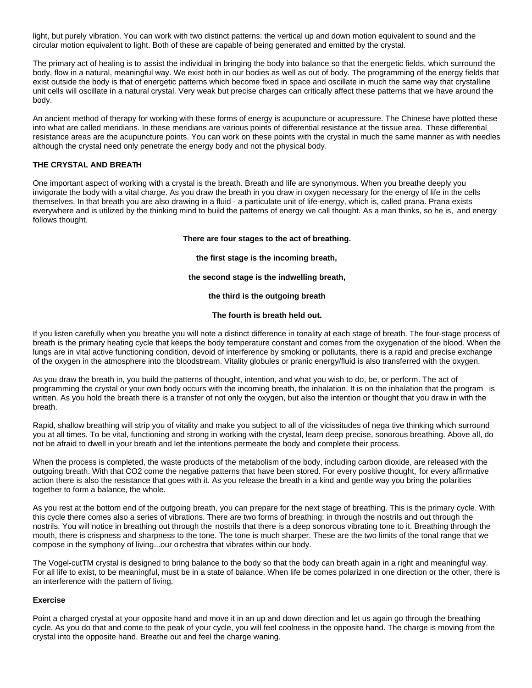light, but purely vibration. You can work with two distinct patterns: the vertical up and down motion equivalent to sound and the circular motion equivalent to light. Both of these are capable of being generated and emitted by the crystal.

The primary act of healing is to assist the individual in bringing the body into balance so that the energetic fields, which surround the body, flow in a natural, meaningful way. We exist both in our bodies as well as out of body. The programming of the energy fields that exist outside the body is that of energetic patterns which become fixed in space and oscillate in much the same way that crystalline unit cells will oscillate in a natural crystal. Very weak but precise charges can critically affect these patterns that we have around the body.

An ancient method of therapy for working with these forms of energy is acupuncture or acupressure. The Chinese have plotted these into what are called meridians. In these meridians are various points of differential resistance at the tissue area. These differential resistance areas are the acupuncture points. You can work on these points with the crystal in much the same manner as with needles although the crystal need only penetrate the energy body and not the physical body.

# **THE CRYSTAL AND BREATH**

One important aspect of working with a crystal is the breath. Breath and life are synonymous. When you breathe deeply you invigorate the body with a vital charge. As you draw the breath in you draw in oxygen necessary for the energy of life in the cells themselves. In that breath you are also drawing in a fluid - a particulate unit of life-energy, which is, called prana. Prana exists everywhere and is utilized by the thinking mind to build the patterns of energy we call thought. As a man thinks, so he is, and energy follows thought.

## **There are four stages to the act of breathing.**

**the first stage is the incoming breath,**

## **the second stage is the indwelling breath,**

## **the third is the outgoing breath**

## **The fourth is breath held out.**

If you listen carefully when you breathe you will note a distinct difference in tonality at each stage of breath. The four-stage process of breath is the primary heating cycle that keeps the body temperature constant and comes from the oxygenation of the blood. When the lungs are in vital active functioning condition, devoid of interference by smoking or pollutants, there is a rapid and precise exchange of the oxygen in the atmosphere into the bloodstream. Vitality globules or pranic energy/fluid is also transferred with the oxygen.

As you draw the breath in, you build the patterns of thought, intention, and what you wish to do, be, or perform. The act of programming the crystal or your own body occurs with the incoming breath, the inhalation. It is on the inhalation that the program is written. As you hold the breath there is a transfer of not only the oxygen, but also the intention or thought that you draw in with the breath.

Rapid, shallow breathing will strip you of vitality and make you subject to all of the vicissitudes of nega tive thinking which surround you at all times. To be vital, functioning and strong in working with the crystal, learn deep precise, sonorous breathing. Above all, do not be afraid to dwell in your breath and let the intentions permeate the body and complete their process.

When the process is completed, the waste products of the metabolism of the body, including carbon dioxide, are released with the outgoing breath. With that CO2 come the negative patterns that have been stored. For every positive thought, for every affirmative action there is also the resistance that goes with it. As you release the breath in a kind and gentle way you bring the polarities together to form a balance, the whole.

As you rest at the bottom end of the outgoing breath, you can prepare for the next stage of breathing. This is the primary cycle. With this cycle there comes also a series of vibrations. There are two forms of breathing: in through the nostrils and out through the nostrils. You will notice in breathing out through the nostrils that there is a deep sonorous vibrating tone to it. Breathing through the mouth, there is crispness and sharpness to the tone. The tone is much sharper. These are the two limits of the tonal range that we compose in the symphony of living...our o rchestra that vibrates within our body.

The Vogel-cutTM crystal is designed to bring balance to the body so that the body can breath again in a right and meaningful way. For all life to exist, to be meaningful, must be in a state of balance. When life be comes polarized in one direction or the other, there is an interference with the pattern of living.

## **Exercise**

Point a charged crystal at your opposite hand and move it in an up and down direction and let us again go through the breathing cycle. As you do that and come to the peak of your cycle, you will feel coolness in the opposite hand. The charge is moving from the crystal into the opposite hand. Breathe out and feel the charge waning.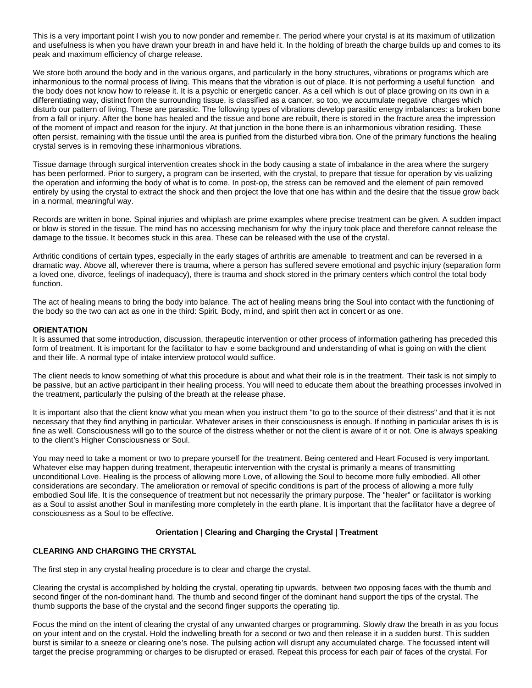This is a very important point I wish you to now ponder and remembe r. The period where your crystal is at its maximum of utilization and usefulness is when you have drawn your breath in and have held it. In the holding of breath the charge builds up and comes to its peak and maximum efficiency of charge release.

We store both around the body and in the various organs, and particularly in the bony structures, vibrations or programs which are inharmonious to the normal process of living. This means that the vibration is out of place. It is not performing a useful function and the body does not know how to release it. It is a psychic or energetic cancer. As a cell which is out of place growing on its own in a differentiating way, distinct from the surrounding tissue, is classified as a cancer, so too, we accumulate negative charges which disturb our pattern of living. These are parasitic. The following types of vibrations develop parasitic energy imbalances: a broken bone from a fall or injury. After the bone has healed and the tissue and bone are rebuilt, there is stored in the fracture area the impression of the moment of impact and reason for the injury. At that junction in the bone there is an inharmonious vibration residing. These often persist, remaining with the tissue until the area is purified from the disturbed vibra tion. One of the primary functions the healing crystal serves is in removing these inharmonious vibrations.

Tissue damage through surgical intervention creates shock in the body causing a state of imbalance in the area where the surgery has been performed. Prior to surgery, a program can be inserted, with the crystal, to prepare that tissue for operation by vis ualizing the operation and informing the body of what is to come. In post-op, the stress can be removed and the element of pain removed entirely by using the crystal to extract the shock and then project the love that one has within and the desire that the tissue grow back in a normal, meaningful way.

Records are written in bone. Spinal injuries and whiplash are prime examples where precise treatment can be given. A sudden impact or blow is stored in the tissue. The mind has no accessing mechanism for why the injury took place and therefore cannot release the damage to the tissue. It becomes stuck in this area. These can be released with the use of the crystal.

Arthritic conditions of certain types, especially in the early stages of arthritis are amenable to treatment and can be reversed in a dramatic way. Above all, wherever there is trauma, where a person has suffered severe emotional and psychic injury (separation form a loved one, divorce, feelings of inadequacy), there is trauma and shock stored in the primary centers which control the total body function.

The act of healing means to bring the body into balance. The act of healing means bring the Soul into contact with the functioning of the body so the two can act as one in the third: Spirit. Body, m ind, and spirit then act in concert or as one.

## **ORIENTATION**

It is assumed that some introduction, discussion, therapeutic intervention or other process of information gathering has preceded this form of treatment. It is important for the facilitator to hav e some background and understanding of what is going on with the client and their life. A normal type of intake interview protocol would suffice.

The client needs to know something of what this procedure is about and what their role is in the treatment. Their task is not simply to be passive, but an active participant in their healing process. You will need to educate them about the breathing processes involved in the treatment, particularly the pulsing of the breath at the release phase.

It is important also that the client know what you mean when you instruct them "to go to the source of their distress" and that it is not necessary that they find anything in particular. Whatever arises in their consciousness is enough. If nothing in particular arises th is is fine as well. Consciousness will go to the source of the distress whether or not the client is aware of it or not. One is always speaking to the client's Higher Consciousness or Soul.

You may need to take a moment or two to prepare yourself for the treatment. Being centered and Heart Focused is very important. Whatever else may happen during treatment, therapeutic intervention with the crystal is primarily a means of transmitting unconditional Love. Healing is the process of allowing more Love, of allowing the Soul to become more fully embodied. All other considerations are secondary. The amelioration or removal of specific conditions is part of the process of allowing a more fully embodied Soul life. It is the consequence of treatment but not necessarily the primary purpose. The "healer" or facilitator is working as a Soul to assist another Soul in manifesting more completely in the earth plane. It is important that the facilitator have a degree of consciousness as a Soul to be effective.

## **Orientation | Clearing and Charging the Crystal | Treatment**

# **CLEARING AND CHARGING THE CRYSTAL**

The first step in any crystal healing procedure is to clear and charge the crystal.

Clearing the crystal is accomplished by holding the crystal, operating tip upwards, between two opposing faces with the thumb and second finger of the non-dominant hand. The thumb and second finger of the dominant hand support the tips of the crystal. The thumb supports the base of the crystal and the second finger supports the operating tip.

Focus the mind on the intent of clearing the crystal of any unwanted charges or programming. Slowly draw the breath in as you focus on your intent and on the crystal. Hold the indwelling breath for a second or two and then release it in a sudden burst. This sudden burst is similar to a sneeze or clearing one's nose. The pulsing action will disrupt any accumulated charge. The focussed intent will target the precise programming or charges to be disrupted or erased. Repeat this process for each pair of faces of the crystal. For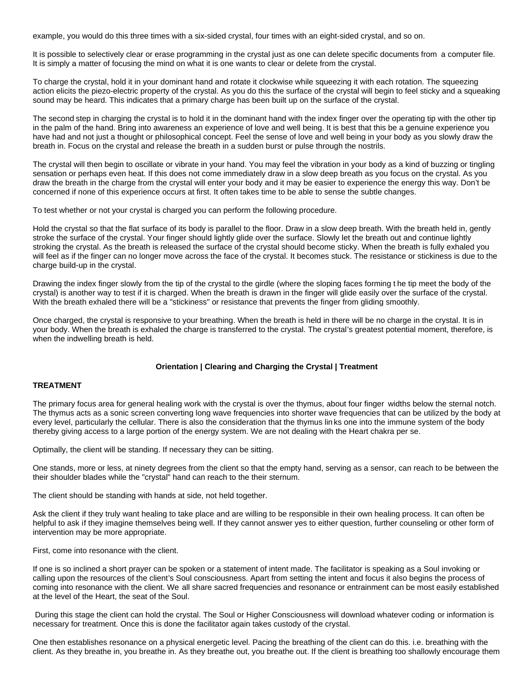example, you would do this three times with a six-sided crystal, four times with an eight-sided crystal, and so on.

It is possible to selectively clear or erase programming in the crystal just as one can delete specific documents from a computer file. It is simply a matter of focusing the mind on what it is one wants to clear or delete from the crystal.

To charge the crystal, hold it in your dominant hand and rotate it clockwise while squeezing it with each rotation. The squeezing action elicits the piezo-electric property of the crystal. As you do this the surface of the crystal will begin to feel sticky and a squeaking sound may be heard. This indicates that a primary charge has been built up on the surface of the crystal.

The second step in charging the crystal is to hold it in the dominant hand with the index finger over the operating tip with the other tip in the palm of the hand. Bring into awareness an experience of love and well being. It is best that this be a genuine experience you have had and not just a thought or philosophical concept. Feel the sense of love and well being in your body as you slowly draw the breath in. Focus on the crystal and release the breath in a sudden burst or pulse through the nostrils.

The crystal will then begin to oscillate or vibrate in your hand. You may feel the vibration in your body as a kind of buzzing or tingling sensation or perhaps even heat. If this does not come immediately draw in a slow deep breath as you focus on the crystal. As you draw the breath in the charge from the crystal will enter your body and it may be easier to experience the energy this way. Don't be concerned if none of this experience occurs at first. It often takes time to be able to sense the subtle changes.

To test whether or not your crystal is charged you can perform the following procedure.

Hold the crystal so that the flat surface of its body is parallel to the floor. Draw in a slow deep breath. With the breath held in, gently stroke the surface of the crystal. Your finger should lightly glide over the surface. Slowly let the breath out and continue lightly stroking the crystal. As the breath is released the surface of the crystal should become sticky. When the breath is fully exhaled you will feel as if the finger can no longer move across the face of the crystal. It becomes stuck. The resistance or stickiness is due to the charge build-up in the crystal.

Drawing the index finger slowly from the tip of the crystal to the girdle (where the sloping faces forming t he tip meet the body of the crystal) is another way to test if it is charged. When the breath is drawn in the finger will glide easily over the surface of the crystal. With the breath exhaled there will be a "stickiness" or resistance that prevents the finger from gliding smoothly.

Once charged, the crystal is responsive to your breathing. When the breath is held in there will be no charge in the crystal. It is in your body. When the breath is exhaled the charge is transferred to the crystal. The crystal's greatest potential moment, therefore, is when the indwelling breath is held.

## **Orientation | Clearing and Charging the Crystal | Treatment**

## **TREATMENT**

The primary focus area for general healing work with the crystal is over the thymus, about four finger widths below the sternal notch. The thymus acts as a sonic screen converting long wave frequencies into shorter wave frequencies that can be utilized by the body at every level, particularly the cellular. There is also the consideration that the thymus lin ks one into the immune system of the body thereby giving access to a large portion of the energy system. We are not dealing with the Heart chakra per se.

Optimally, the client will be standing. If necessary they can be sitting.

One stands, more or less, at ninety degrees from the client so that the empty hand, serving as a sensor, can reach to be between the their shoulder blades while the "crystal" hand can reach to the their sternum.

The client should be standing with hands at side, not held together.

Ask the client if they truly want healing to take place and are willing to be responsible in their own healing process. It can often be helpful to ask if they imagine themselves being well. If they cannot answer yes to either question, further counseling or other form of intervention may be more appropriate.

First, come into resonance with the client.

If one is so inclined a short prayer can be spoken or a statement of intent made. The facilitator is speaking as a Soul invoking or calling upon the resources of the client's Soul consciousness. Apart from setting the intent and focus it also begins the process of coming into resonance with the client. We all share sacred frequencies and resonance or entrainment can be most easily established at the level of the Heart, the seat of the Soul.

 During this stage the client can hold the crystal. The Soul or Higher Consciousness will download whatever coding or information is necessary for treatment. Once this is done the facilitator again takes custody of the crystal.

One then establishes resonance on a physical energetic level. Pacing the breathing of the client can do this. i.e. breathing with the client. As they breathe in, you breathe in. As they breathe out, you breathe out. If the client is breathing too shallowly encourage them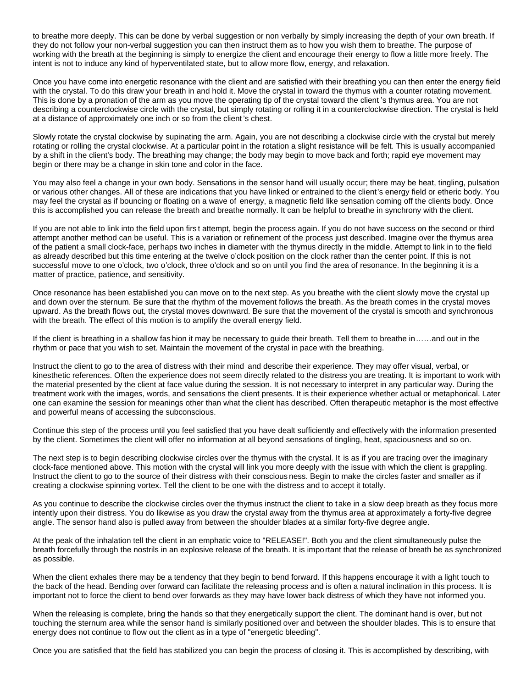to breathe more deeply. This can be done by verbal suggestion or non verbally by simply increasing the depth of your own breath. If they do not follow your non-verbal suggestion you can then instruct them as to how you wish them to breathe. The purpose of working with the breath at the beginning is simply to energize the client and encourage their energy to flow a little more freely. The intent is not to induce any kind of hyperventilated state, but to allow more flow, energy, and relaxation.

Once you have come into energetic resonance with the client and are satisfied with their breathing you can then enter the energy field with the crystal. To do this draw your breath in and hold it. Move the crystal in toward the thymus with a counter rotating movement. This is done by a pronation of the arm as you move the operating tip of the crystal toward the client 's thymus area. You are not describing a counterclockwise circle with the crystal, but simply rotating or rolling it in a counterclockwise direction. The crystal is held at a distance of approximately one inch or so from the client 's chest.

Slowly rotate the crystal clockwise by supinating the arm. Again, you are not describing a clockwise circle with the crystal but merely rotating or rolling the crystal clockwise. At a particular point in the rotation a slight resistance will be felt. This is usually accompanied by a shift in the client's body. The breathing may change; the body may begin to move back and forth; rapid eye movement may begin or there may be a change in skin tone and color in the face.

You may also feel a change in your own body. Sensations in the sensor hand will usually occur; there may be heat, tingling, pulsation or various other changes. All of these are indications that you have linked or entrained to the client's energy field or etheric body. You may feel the crystal as if bouncing or floating on a wave of energy, a magnetic field like sensation coming off the clients body. Once this is accomplished you can release the breath and breathe normally. It can be helpful to breathe in synchrony with the client.

If you are not able to link into the field upon firs t attempt, begin the process again. If you do not have success on the second or third attempt another method can be useful. This is a variation or refinement of the process just described. Imagine over the thymus area of the patient a small clock-face, perhaps two inches in diameter with the thymus directly in the middle. Attempt to link in to the field as already described but this time entering at the twelve o'clock position on the clock rather than the center point. If this is not successful move to one o'clock, two o'clock, three o'clock and so on until you find the area of resonance. In the beginning it is a matter of practice, patience, and sensitivity.

Once resonance has been established you can move on to the next step. As you breathe with the client slowly move the crystal up and down over the sternum. Be sure that the rhythm of the movement follows the breath. As the breath comes in the crystal moves upward. As the breath flows out, the crystal moves downward. Be sure that the movement of the crystal is smooth and synchronous with the breath. The effect of this motion is to amplify the overall energy field.

If the client is breathing in a shallow fashion it may be necessary to guide their breath. Tell them to breathe in……and out in the rhythm or pace that you wish to set. Maintain the movement of the crystal in pace with the breathing.

Instruct the client to go to the area of distress with their mind and describe their experience. They may offer visual, verbal, or kinesthetic references. Often the experience does not seem directly related to the distress you are treating. It is important to work with the material presented by the client at face value during the session. It is not necessary to interpret in any particular way. During the treatment work with the images, words, and sensations the client presents. It is their experience whether actual or metaphorical. Later one can examine the session for meanings other than what the client has described. Often therapeutic metaphor is the most effective and powerful means of accessing the subconscious.

Continue this step of the process until you feel satisfied that you have dealt sufficiently and effectively with the information presented by the client. Sometimes the client will offer no information at all beyond sensations of tingling, heat, spaciousness and so on.

The next step is to begin describing clockwise circles over the thymus with the crystal. It is as if you are tracing over the imaginary clock-face mentioned above. This motion with the crystal will link you more deeply with the issue with which the client is grappling. Instruct the client to go to the source of their distress with their conscious ness. Begin to make the circles faster and smaller as if creating a clockwise spinning vortex. Tell the client to be one with the distress and to accept it totally.

As you continue to describe the clockwise circles over the thymus instruct the client to take in a slow deep breath as they focus more intently upon their distress. You do likewise as you draw the crystal away from the thymus area at approximately a forty-five degree angle. The sensor hand also is pulled away from between the shoulder blades at a similar forty-five degree angle.

At the peak of the inhalation tell the client in an emphatic voice to "RELEASE!". Both you and the client simultaneously pulse the breath forcefully through the nostrils in an explosive release of the breath. It is important that the release of breath be as synchronized as possible.

When the client exhales there may be a tendency that they begin to bend forward. If this happens encourage it with a light touch to the back of the head. Bending over forward can facilitate the releasing process and is often a natural inclination in this process. It is important not to force the client to bend over forwards as they may have lower back distress of which they have not informed you.

When the releasing is complete, bring the hands so that they energetically support the client. The dominant hand is over, but not touching the sternum area while the sensor hand is similarly positioned over and between the shoulder blades. This is to ensure that energy does not continue to flow out the client as in a type of "energetic bleeding".

Once you are satisfied that the field has stabilized you can begin the process of closing it. This is accomplished by describing, with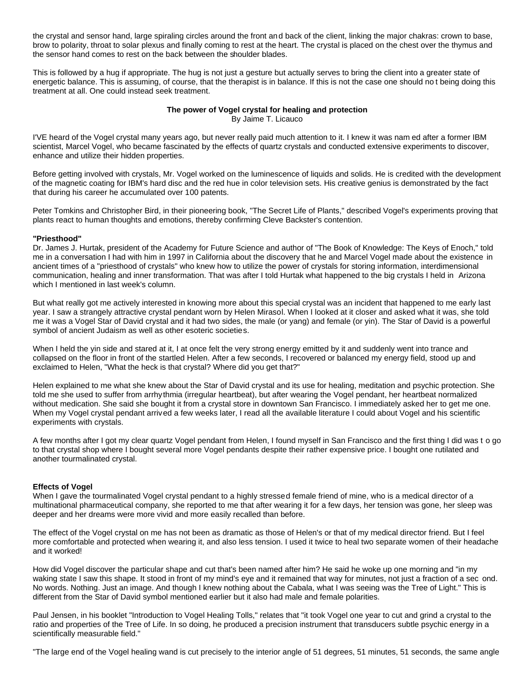the crystal and sensor hand, large spiraling circles around the front and back of the client, linking the major chakras: crown to base, brow to polarity, throat to solar plexus and finally coming to rest at the heart. The crystal is placed on the chest over the thymus and the sensor hand comes to rest on the back between the shoulder blades.

This is followed by a hug if appropriate. The hug is not just a gesture but actually serves to bring the client into a greater state of energetic balance. This is assuming, of course, that the therapist is in balance. If this is not the case one should no t being doing this treatment at all. One could instead seek treatment.

#### **The power of Vogel crystal for healing and protection** By Jaime T. Licauco

I'VE heard of the Vogel crystal many years ago, but never really paid much attention to it. I knew it was nam ed after a former IBM scientist, Marcel Vogel, who became fascinated by the effects of quartz crystals and conducted extensive experiments to discover, enhance and utilize their hidden properties.

Before getting involved with crystals, Mr. Vogel worked on the luminescence of liquids and solids. He is credited with the development of the magnetic coating for IBM's hard disc and the red hue in color television sets. His creative genius is demonstrated by the fact that during his career he accumulated over 100 patents.

Peter Tomkins and Christopher Bird, in their pioneering book, "The Secret Life of Plants," described Vogel's experiments proving that plants react to human thoughts and emotions, thereby confirming Cleve Backster's contention.

## **"Priesthood"**

Dr. James J. Hurtak, president of the Academy for Future Science and author of "The Book of Knowledge: The Keys of Enoch," told me in a conversation I had with him in 1997 in California about the discovery that he and Marcel Vogel made about the existence in ancient times of a "priesthood of crystals" who knew how to utilize the power of crystals for storing information, interdimensional communication, healing and inner transformation. That was after I told Hurtak what happened to the big crystals I held in Arizona which I mentioned in last week's column.

But what really got me actively interested in knowing more about this special crystal was an incident that happened to me early last year. I saw a strangely attractive crystal pendant worn by Helen Mirasol. When I looked at it closer and asked what it was, she told me it was a Vogel Star of David crystal and it had two sides, the male (or yang) and female (or yin). The Star of David is a powerful symbol of ancient Judaism as well as other esoteric societies.

When I held the yin side and stared at it, I at once felt the very strong energy emitted by it and suddenly went into trance and collapsed on the floor in front of the startled Helen. After a few seconds, I recovered or balanced my energy field, stood up and exclaimed to Helen, "What the heck is that crystal? Where did you get that?"

Helen explained to me what she knew about the Star of David crystal and its use for healing, meditation and psychic protection. She told me she used to suffer from arrhythmia (irregular heartbeat), but after wearing the Vogel pendant, her heartbeat normalized without medication. She said she bought it from a crystal store in downtown San Francisco. I immediately asked her to get me one. When my Vogel crystal pendant arrived a few weeks later, I read all the available literature I could about Vogel and his scientific experiments with crystals.

A few months after I got my clear quartz Vogel pendant from Helen, I found myself in San Francisco and the first thing I did was t o go to that crystal shop where I bought several more Vogel pendants despite their rather expensive price. I bought one rutilated and another tourmalinated crystal.

## **Effects of Vogel**

When I gave the tourmalinated Vogel crystal pendant to a highly stressed female friend of mine, who is a medical director of a multinational pharmaceutical company, she reported to me that after wearing it for a few days, her tension was gone, her sleep was deeper and her dreams were more vivid and more easily recalled than before.

The effect of the Vogel crystal on me has not been as dramatic as those of Helen's or that of my medical director friend. But I feel more comfortable and protected when wearing it, and also less tension. I used it twice to heal two separate women of their headache and it worked!

How did Vogel discover the particular shape and cut that's been named after him? He said he woke up one morning and "in my waking state I saw this shape. It stood in front of my mind's eye and it remained that way for minutes, not just a fraction of a sec ond. No words. Nothing. Just an image. And though I knew nothing about the Cabala, what I was seeing was the Tree of Light." This is different from the Star of David symbol mentioned earlier but it also had male and female polarities.

Paul Jensen, in his booklet "Introduction to Vogel Healing Tolls," relates that "it took Vogel one year to cut and grind a crystal to the ratio and properties of the Tree of Life. In so doing, he produced a precision instrument that transducers subtle psychic energy in a scientifically measurable field."

"The large end of the Vogel healing wand is cut precisely to the interior angle of 51 degrees, 51 minutes, 51 seconds, the same angle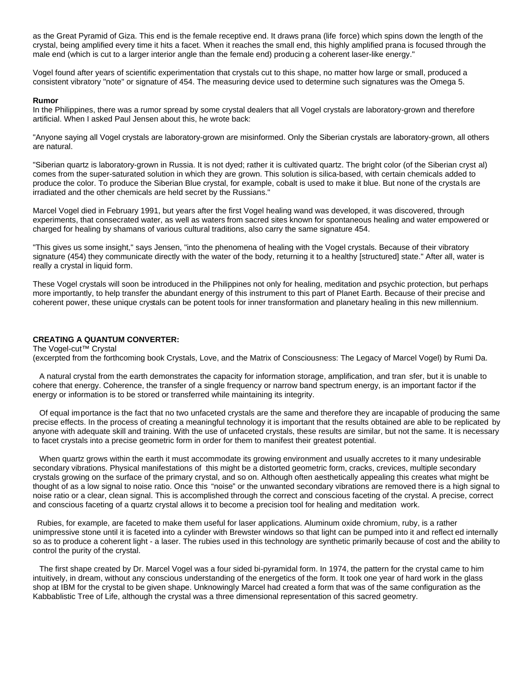as the Great Pyramid of Giza. This end is the female receptive end. It draws prana (life force) which spins down the length of the crystal, being amplified every time it hits a facet. When it reaches the small end, this highly amplified prana is focused through the male end (which is cut to a larger interior angle than the female end) producing a coherent laser-like energy."

Vogel found after years of scientific experimentation that crystals cut to this shape, no matter how large or small, produced a consistent vibratory "note" or signature of 454. The measuring device used to determine such signatures was the Omega 5.

### **Rumor**

In the Philippines, there was a rumor spread by some crystal dealers that all Vogel crystals are laboratory-grown and therefore artificial. When I asked Paul Jensen about this, he wrote back:

"Anyone saying all Vogel crystals are laboratory-grown are misinformed. Only the Siberian crystals are laboratory-grown, all others are natural.

"Siberian quartz is laboratory-grown in Russia. It is not dyed; rather it is cultivated quartz. The bright color (of the Siberian cryst al) comes from the super-saturated solution in which they are grown. This solution is silica-based, with certain chemicals added to produce the color. To produce the Siberian Blue crystal, for example, cobalt is used to make it blue. But none of the crystals are irradiated and the other chemicals are held secret by the Russians."

Marcel Vogel died in February 1991, but years after the first Vogel healing wand was developed, it was discovered, through experiments, that consecrated water, as well as waters from sacred sites known for spontaneous healing and water empowered or charged for healing by shamans of various cultural traditions, also carry the same signature 454.

"This gives us some insight," says Jensen, "into the phenomena of healing with the Vogel crystals. Because of their vibratory signature (454) they communicate directly with the water of the body, returning it to a healthy [structured] state." After all, water is really a crystal in liquid form.

These Vogel crystals will soon be introduced in the Philippines not only for healing, meditation and psychic protection, but perhaps more importantly, to help transfer the abundant energy of this instrument to this part of Planet Earth. Because of their precise and coherent power, these unique crystals can be potent tools for inner transformation and planetary healing in this new millennium.

# **CREATING A QUANTUM CONVERTER:**

The Vogel-cut™ Crystal (excerpted from the forthcoming book Crystals, Love, and the Matrix of Consciousness: The Legacy of Marcel Vogel) by Rumi Da.

 A natural crystal from the earth demonstrates the capacity for information storage, amplification, and tran sfer, but it is unable to cohere that energy. Coherence, the transfer of a single frequency or narrow band spectrum energy, is an important factor if the energy or information is to be stored or transferred while maintaining its integrity.

 Of equal importance is the fact that no two unfaceted crystals are the same and therefore they are incapable of producing the same precise effects. In the process of creating a meaningful technology it is important that the results obtained are able to be replicated by anyone with adequate skill and training. With the use of unfaceted crystals, these results are similar, but not the same. It is necessary to facet crystals into a precise geometric form in order for them to manifest their greatest potential.

 When quartz grows within the earth it must accommodate its growing environment and usually accretes to it many undesirable secondary vibrations. Physical manifestations of this might be a distorted geometric form, cracks, crevices, multiple secondary crystals growing on the surface of the primary crystal, and so on. Although often aesthetically appealing this creates what might be thought of as a low signal to noise ratio. Once this "noise" or the unwanted secondary vibrations are removed there is a high signal to noise ratio or a clear, clean signal. This is accomplished through the correct and conscious faceting of the crystal. A precise, correct and conscious faceting of a quartz crystal allows it to become a precision tool for healing and meditation work.

 Rubies, for example, are faceted to make them useful for laser applications. Aluminum oxide chromium, ruby, is a rather unimpressive stone until it is faceted into a cylinder with Brewster windows so that light can be pumped into it and reflect ed internally so as to produce a coherent light - a laser. The rubies used in this technology are synthetic primarily because of cost and the ability to control the purity of the crystal.

 The first shape created by Dr. Marcel Vogel was a four sided bi-pyramidal form. In 1974, the pattern for the crystal came to him intuitively, in dream, without any conscious understanding of the energetics of the form. It took one year of hard work in the glass shop at IBM for the crystal to be given shape. Unknowingly Marcel had created a form that was of the same configuration as the Kabbablistic Tree of Life, although the crystal was a three dimensional representation of this sacred geometry.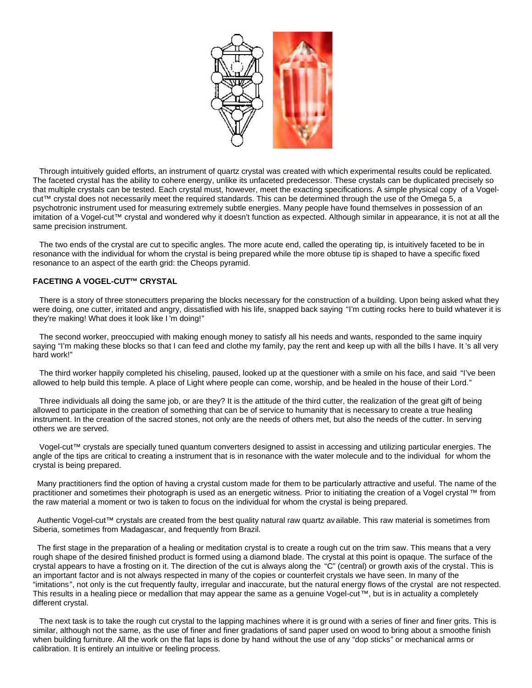

 Through intuitively guided efforts, an instrument of quartz crystal was created with which experimental results could be replicated. The faceted crystal has the ability to cohere energy, unlike its unfaceted predecessor. These crystals can be duplicated precisely so that multiple crystals can be tested. Each crystal must, however, meet the exacting specifications. A simple physical copy of a Vogelcut™ crystal does not necessarily meet the required standards. This can be determined through the use of the Omega 5, a psychotronic instrument used for measuring extremely subtle energies. Many people have found themselves in possession of an imitation of a Vogel-cut™ crystal and wondered why it doesn't function as expected. Although similar in appearance, it is not at all the same precision instrument.

 The two ends of the crystal are cut to specific angles. The more acute end, called the operating tip, is intuitively faceted to be in resonance with the individual for whom the crystal is being prepared while the more obtuse tip is shaped to have a specific fixed resonance to an aspect of the earth grid: the Cheops pyramid.

## **FACETING A VOGEL-CUT™ CRYSTAL**

 There is a story of three stonecutters preparing the blocks necessary for the construction of a building. Upon being asked what they were doing, one cutter, irritated and angry, dissatisfied with his life, snapped back saying "I'm cutting rocks here to build whatever it is they're making! What does it look like I 'm doing!"

 The second worker, preoccupied with making enough money to satisfy all his needs and wants, responded to the same inquiry saying "I'm making these blocks so that I can feed and clothe my family, pay the rent and keep up with all the bills I have. It 's all very hard work!"

 The third worker happily completed his chiseling, paused, looked up at the questioner with a smile on his face, and said "I've been allowed to help build this temple. A place of Light where people can come, worship, and be healed in the house of their Lord."

 Three individuals all doing the same job, or are they? It is the attitude of the third cutter, the realization of the great gift of being allowed to participate in the creation of something that can be of service to humanity that is necessary to create a true healing instrument. In the creation of the sacred stones, not only are the needs of others met, but also the needs of the cutter. In serving others we are served.

 Vogel-cut™ crystals are specially tuned quantum converters designed to assist in accessing and utilizing particular energies. The angle of the tips are critical to creating a instrument that is in resonance with the water molecule and to the individual for whom the crystal is being prepared.

 Many practitioners find the option of having a crystal custom made for them to be particularly attractive and useful. The name of the practitioner and sometimes their photograph is used as an energetic witness. Prior to initiating the creation of a Vogel crystal ™ from the raw material a moment or two is taken to focus on the individual for whom the crystal is being prepared.

 Authentic Vogel-cut™ crystals are created from the best quality natural raw quartz available. This raw material is sometimes from Siberia, sometimes from Madagascar, and frequently from Brazil.

 The first stage in the preparation of a healing or meditation crystal is to create a rough cut on the trim saw. This means that a very rough shape of the desired finished product is formed using a diamond blade. The crystal at this point is opaque. The surface of the crystal appears to have a frosting on it. The direction of the cut is always along the "C" (central) or growth axis of the crystal. This is an important factor and is not always respected in many of the copies or counterfeit crystals we have seen. In many of the "imitations", not only is the cut frequently faulty, irregular and inaccurate, but the natural energy flows of the crystal are not respected. This results in a healing piece or medallion that may appear the same as a genuine Vogel-cut™, but is in actuality a completely different crystal.

 The next task is to take the rough cut crystal to the lapping machines where it is gr ound with a series of finer and finer grits. This is similar, although not the same, as the use of finer and finer gradations of sand paper used on wood to bring about a smoothe finish when building furniture. All the work on the flat laps is done by hand without the use of any "dop sticks" or mechanical arms or calibration. It is entirely an intuitive or feeling process.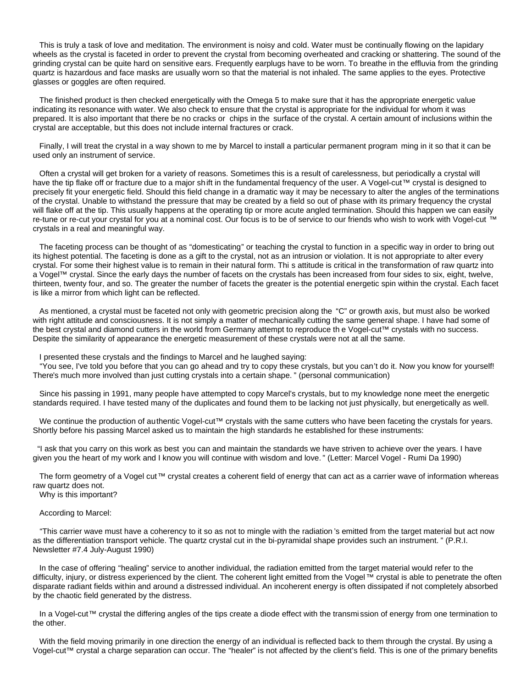This is truly a task of love and meditation. The environment is noisy and cold. Water must be continually flowing on the lapidary wheels as the crystal is faceted in order to prevent the crystal from becoming overheated and cracking or shattering. The sound of the grinding crystal can be quite hard on sensitive ears. Frequently earplugs have to be worn. To breathe in the effluvia from the grinding quartz is hazardous and face masks are usually worn so that the material is not inhaled. The same applies to the eyes. Protective glasses or goggles are often required.

 The finished product is then checked energetically with the Omega 5 to make sure that it has the appropriate energetic value indicating its resonance with water. We also check to ensure that the crystal is appropriate for the individual for whom it was prepared. It is also important that there be no cracks or chips in the surface of the crystal. A certain amount of inclusions within the crystal are acceptable, but this does not include internal fractures or crack.

 Finally, I will treat the crystal in a way shown to me by Marcel to install a particular permanent program ming in it so that it can be used only an instrument of service.

 Often a crystal will get broken for a variety of reasons. Sometimes this is a result of carelessness, but periodically a crystal will have the tip flake off or fracture due to a major shift in the fundamental frequency of the user. A Vogel-cut™ crystal is designed to precisely fit your energetic field. Should this field change in a dramatic way it may be necessary to alter the angles of the terminations of the crystal. Unable to withstand the pressure that may be created by a field so out of phase with its primary frequency the crystal will flake off at the tip. This usually happens at the operating tip or more acute angled termination. Should this happen we can easily re-tune or re-cut your crystal for you at a nominal cost. Our focus is to be of service to our friends who wish to work with Vogel-cut ™ crystals in a real and meaningful way.

 The faceting process can be thought of as "domesticating" or teaching the crystal to function in a specific way in order to bring out its highest potential. The faceting is done as a gift to the crystal, not as an intrusion or violation. It is not appropriate to alter every crystal. For some their highest value is to remain in their natural form. Thi s attitude is critical in the transformation of raw quartz into a Vogel™ crystal. Since the early days the number of facets on the crystals has been increased from four sides to six, eight, twelve, thirteen, twenty four, and so. The greater the number of facets the greater is the potential energetic spin within the crystal. Each facet is like a mirror from which light can be reflected.

 As mentioned, a crystal must be faceted not only with geometric precision along the "C" or growth axis, but must also be worked with right attitude and consciousness. It is not simply a matter of mechanically cutting the same general shape. I have had some of the best crystal and diamond cutters in the world from Germany attempt to reproduce th e Vogel-cut™ crystals with no success. Despite the similarity of appearance the energetic measurement of these crystals were not at all the same.

I presented these crystals and the findings to Marcel and he laughed saying:

 "You see, I've told you before that you can go ahead and try to copy these crystals, but you can't do it. Now you know for yourself! There's much more involved than just cutting crystals into a certain shape. " (personal communication)

 Since his passing in 1991, many people have attempted to copy Marcel's crystals, but to my knowledge none meet the energetic standards required. I have tested many of the duplicates and found them to be lacking not just physically, but energetically as well.

We continue the production of authentic Vogel-cut™ crystals with the same cutters who have been faceting the crystals for years. Shortly before his passing Marcel asked us to maintain the high standards he established for these instruments:

 "I ask that you carry on this work as best you can and maintain the standards we have striven to achieve over the years. I have given you the heart of my work and I know you will continue with wisdom and love. " (Letter: Marcel Vogel - Rumi Da 1990)

The form geometry of a Vogel cut™ crystal creates a coherent field of energy that can act as a carrier wave of information whereas raw quartz does not.

Why is this important?

### According to Marcel:

 "This carrier wave must have a coherency to it so as not to mingle with the radiation 's emitted from the target material but act now as the differentiation transport vehicle. The quartz crystal cut in the bi-pyramidal shape provides such an instrument. " (P.R.I. Newsletter #7.4 July-August 1990)

 In the case of offering "healing" service to another individual, the radiation emitted from the target material would refer to the difficulty, injury, or distress experienced by the client. The coherent light emitted from the Vogel™ crystal is able to penetrate the often disparate radiant fields within and around a distressed individual. An incoherent energy is often dissipated if not completely absorbed by the chaotic field generated by the distress.

 In a Vogel-cut™ crystal the differing angles of the tips create a diode effect with the transmi ssion of energy from one termination to the other.

 With the field moving primarily in one direction the energy of an individual is reflected back to them through the crystal. By using a Vogel-cut™ crystal a charge separation can occur. The "healer" is not affected by the client's field. This is one of the primary benefits